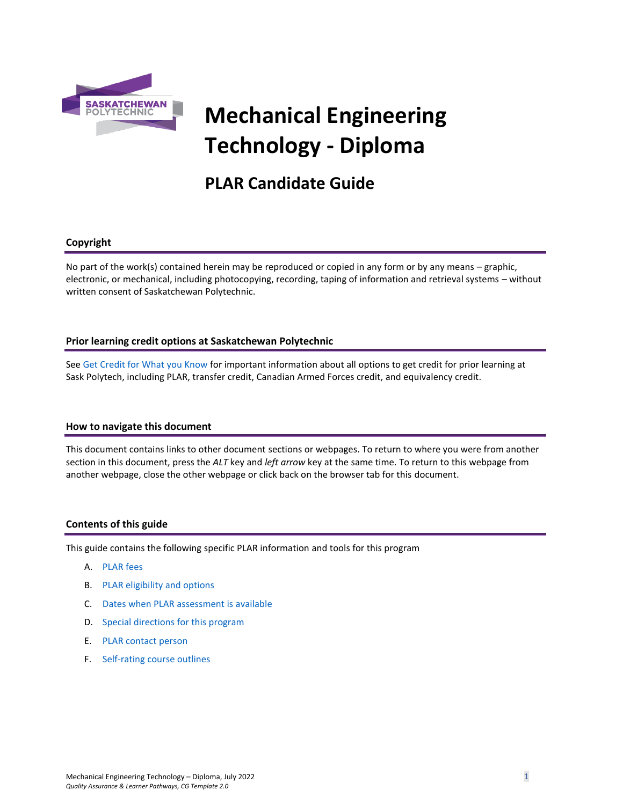

# **Mechanical Engineering Technology - Diploma**

# **PLAR Candidate Guide**

# **Copyright**

No part of the work(s) contained herein may be reproduced or copied in any form or by any means – graphic, electronic, or mechanical, including photocopying, recording, taping of information and retrieval systems – without written consent of Saskatchewan Polytechnic.

# **Prior learning credit options at Saskatchewan Polytechnic**

Se[e Get Credit for What you Know](https://saskpolytech.ca/admissions/get-credit/) for important information about all options to get credit for prior learning at Sask Polytech, including PLAR, transfer credit, Canadian Armed Forces credit, and equivalency credit.

# **How to navigate this document**

This document contains links to other document sections or webpages. To return to where you were from another section in this document, press the *ALT* key and *left arrow* key at the same time. To return to this webpage from another webpage, close the other webpage or click back on the browser tab for this document.

# **Contents of this guide**

This guide contains the following specific PLAR information and tools for this program

- A. [PLAR fees](#page-1-0)
- B. [PLAR eligibility and options](#page-1-1)
- C. Dates when PLAR assessment is available
- D. [Special directions for this program](#page-1-2)
- E. PLAR [contact person](#page-2-0)
- F. [Self-rating course outlines](#page-2-1)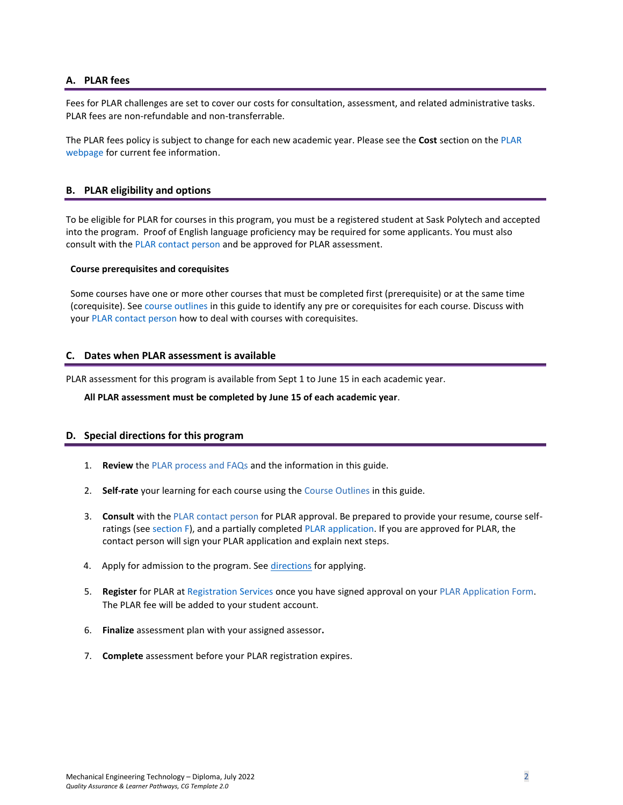# <span id="page-1-0"></span>**A. PLAR fees**

Fees for PLAR challenges are set to cover our costs for consultation, assessment, and related administrative tasks. PLAR fees are non-refundable and non-transferrable.

<span id="page-1-1"></span>The PLAR fees policy is subject to change for each new academic year. Please see the **Cost** section on th[e PLAR](https://saskpolytech.ca/admissions/get-credit/plar.aspx)  [webpage](https://saskpolytech.ca/admissions/get-credit/plar.aspx) for current fee information.

# **B. PLAR eligibility and options**

To be eligible for PLAR for courses in this program, you must be a registered student at Sask Polytech and accepted into the program. Proof of English language proficiency may be required for some applicants. You must also consult with the [PLAR contact person](#page-2-0) and be approved for PLAR assessment.

#### **Course prerequisites and corequisites**

Some courses have one or more other courses that must be completed first (prerequisite) or at the same time (corequisite). See [course outlines](#page-2-1) in this guide to identify any pre or corequisites for each course. Discuss with your [PLAR contact person](#page-2-0) how to deal with courses with corequisites.

# **C. Dates when PLAR assessment is available**

PLAR assessment for this program is available from Sept 1 to June 15 in each academic year.

#### <span id="page-1-2"></span>**All PLAR assessment must be completed by June 15 of each academic year**.

# **D. Special directions for this program**

- 1. **Review** the [PLAR process and FAQs](https://saskpolytech.ca/admissions/get-credit/plar.aspx) and the information in this guide.
- 2. **Self-rate** your learning for each course using the Course Outlines in this guide.
- 3. **Consult** with th[e PLAR contact person](#page-2-0) for PLAR approval. Be prepared to provide your resume, course selfratings (see section F), and a partially completed [PLAR application.](https://saskpolytech.ca/admissions/resources/documents/plar-application-form.pdf) If you are approved for PLAR, the contact person will sign your PLAR application and explain next steps.
- 4. Apply for admission to the program. See [directions](#page-1-2) for applying.
- 5. **Register** for PLAR at [Registration S](https://saskpolytech.ca/w3/registration.aspx)ervices once you have signed approval on your [PLAR Application Form.](http://saskpolytech.ca/admissions/resources/documents/plar-application-form.pdf) The PLAR fee will be added to your student account.
- 6. **Finalize** assessment plan with your assigned assessor**.**
- 7. **Complete** assessment before your PLAR registration expires.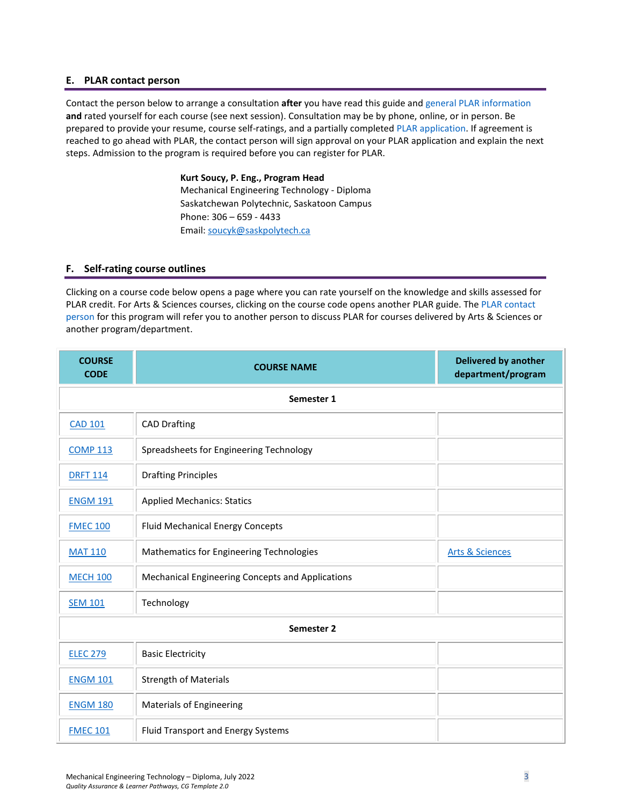### <span id="page-2-0"></span>**E. PLAR contact person**

Contact the person below to arrange a consultation **after** you have read this guide an[d general PLAR information](http://saskpolytech.ca/admissions/resources/prior-learning-process.aspx)  **and** rated yourself for each course (see next session). Consultation may be by phone, online, or in person. Be prepared to provide your resume, course self-ratings, and a partially completed [PLAR application.](https://saskpolytech.ca/admissions/resources/documents/plar-application-form.pdf#search=PLAR%20application) If agreement is reached to go ahead with PLAR, the contact person will sign approval on your PLAR application and explain the next steps. Admission to the program is required before you can register for PLAR.

> **Kurt Soucy, P. Eng., Program Head** Mechanical Engineering Technology - Diploma Saskatchewan Polytechnic, Saskatoon Campus Phone: 306 – 659 - 4433 Email[: soucyk@saskpolytech.ca](mailto:soucyk@saskpolytech.ca)

# <span id="page-2-1"></span>**F. Self-rating course outlines**

Clicking on a course code below opens a page where you can rate yourself on the knowledge and skills assessed for PLAR credit. For Arts & Sciences courses, clicking on the course code opens another PLAR guide. The [PLAR contact](#page-2-0)  [person](#page-2-0) for this program will refer you to another person to discuss PLAR for courses delivered by Arts & Sciences or another program/department.

| <b>COURSE</b><br><b>CODE</b> | <b>COURSE NAME</b>                               | <b>Delivered by another</b><br>department/program |  |  |
|------------------------------|--------------------------------------------------|---------------------------------------------------|--|--|
| Semester 1                   |                                                  |                                                   |  |  |
| <b>CAD 101</b>               | <b>CAD Drafting</b>                              |                                                   |  |  |
| <b>COMP 113</b>              | Spreadsheets for Engineering Technology          |                                                   |  |  |
| <b>DRFT 114</b>              | <b>Drafting Principles</b>                       |                                                   |  |  |
| <b>ENGM 191</b>              | <b>Applied Mechanics: Statics</b>                |                                                   |  |  |
| <b>FMEC 100</b>              | <b>Fluid Mechanical Energy Concepts</b>          |                                                   |  |  |
| <b>MAT 110</b>               | Mathematics for Engineering Technologies         | <b>Arts &amp; Sciences</b>                        |  |  |
| <b>MECH 100</b>              | Mechanical Engineering Concepts and Applications |                                                   |  |  |
| <b>SEM 101</b>               | Technology                                       |                                                   |  |  |
|                              | Semester 2                                       |                                                   |  |  |
| <b>ELEC 279</b>              | <b>Basic Electricity</b>                         |                                                   |  |  |
| <b>ENGM 101</b>              | <b>Strength of Materials</b>                     |                                                   |  |  |
| <b>ENGM 180</b>              | <b>Materials of Engineering</b>                  |                                                   |  |  |
| <b>FMEC 101</b>              | Fluid Transport and Energy Systems               |                                                   |  |  |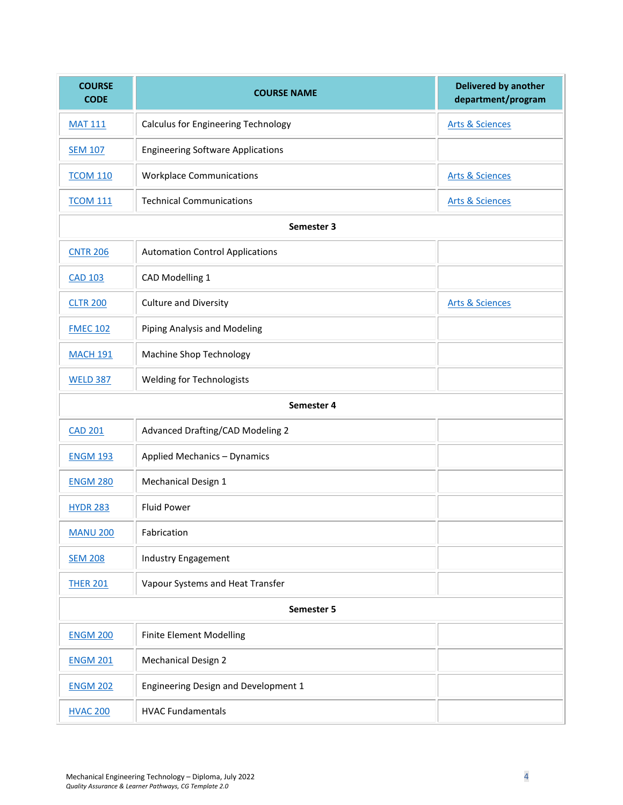| <b>COURSE</b><br><b>CODE</b> | <b>COURSE NAME</b>                                                       | <b>Delivered by another</b><br>department/program |  |  |  |
|------------------------------|--------------------------------------------------------------------------|---------------------------------------------------|--|--|--|
| <b>MAT 111</b>               | <b>Calculus for Engineering Technology</b><br><b>Arts &amp; Sciences</b> |                                                   |  |  |  |
| <b>SEM 107</b>               | <b>Engineering Software Applications</b>                                 |                                                   |  |  |  |
| <b>TCOM 110</b>              | <b>Workplace Communications</b>                                          | <b>Arts &amp; Sciences</b>                        |  |  |  |
| <b>TCOM 111</b>              | <b>Technical Communications</b>                                          | <b>Arts &amp; Sciences</b>                        |  |  |  |
|                              | Semester 3                                                               |                                                   |  |  |  |
| <b>CNTR 206</b>              | <b>Automation Control Applications</b>                                   |                                                   |  |  |  |
| <b>CAD 103</b>               | CAD Modelling 1                                                          |                                                   |  |  |  |
| <b>CLTR 200</b>              | <b>Culture and Diversity</b>                                             | <b>Arts &amp; Sciences</b>                        |  |  |  |
| <b>FMEC 102</b>              | Piping Analysis and Modeling                                             |                                                   |  |  |  |
| <b>MACH 191</b>              | <b>Machine Shop Technology</b>                                           |                                                   |  |  |  |
| <b>WELD 387</b>              | <b>Welding for Technologists</b>                                         |                                                   |  |  |  |
| Semester 4                   |                                                                          |                                                   |  |  |  |
| <b>CAD 201</b>               | Advanced Drafting/CAD Modeling 2                                         |                                                   |  |  |  |
| <b>ENGM 193</b>              | <b>Applied Mechanics - Dynamics</b>                                      |                                                   |  |  |  |
| <b>ENGM 280</b>              | Mechanical Design 1                                                      |                                                   |  |  |  |
| <b>HYDR 283</b>              | <b>Fluid Power</b>                                                       |                                                   |  |  |  |
| <b>MANU 200</b>              | Fabrication                                                              |                                                   |  |  |  |
| <b>SEM 208</b>               | <b>Industry Engagement</b>                                               |                                                   |  |  |  |
| <b>THER 201</b>              | Vapour Systems and Heat Transfer                                         |                                                   |  |  |  |
| Semester 5                   |                                                                          |                                                   |  |  |  |
| <b>ENGM 200</b>              | <b>Finite Element Modelling</b>                                          |                                                   |  |  |  |
| <b>ENGM 201</b>              | Mechanical Design 2                                                      |                                                   |  |  |  |
| <b>ENGM 202</b>              | Engineering Design and Development 1                                     |                                                   |  |  |  |
| <b>HVAC 200</b>              | <b>HVAC Fundamentals</b>                                                 |                                                   |  |  |  |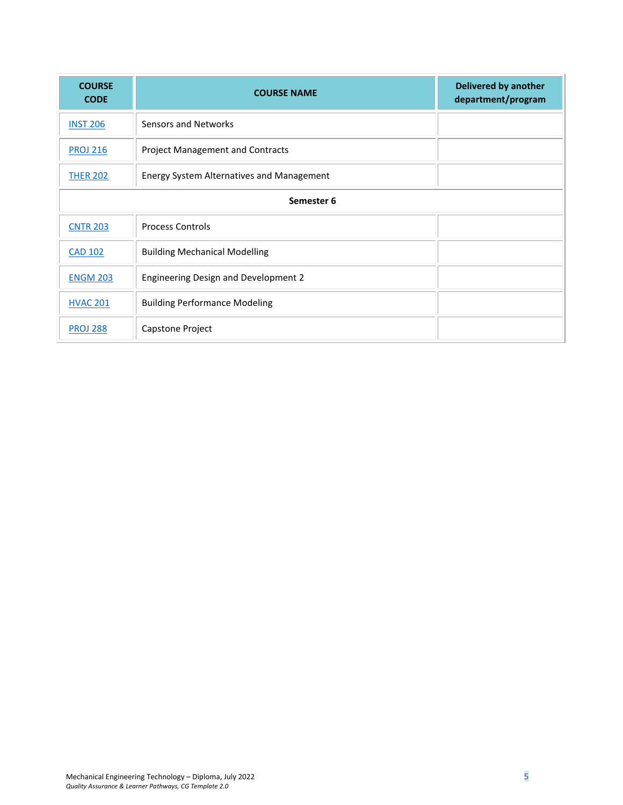| <b>COURSE</b><br><b>CODE</b> | <b>COURSE NAME</b>                          | <b>Delivered by another</b><br>department/program |  |  |  |
|------------------------------|---------------------------------------------|---------------------------------------------------|--|--|--|
| <b>INST 206</b>              | Sensors and Networks                        |                                                   |  |  |  |
| <b>PROJ 216</b>              | <b>Project Management and Contracts</b>     |                                                   |  |  |  |
| <b>THER 202</b>              | Energy System Alternatives and Management   |                                                   |  |  |  |
| Semester 6                   |                                             |                                                   |  |  |  |
| <b>CNTR 203</b>              | <b>Process Controls</b>                     |                                                   |  |  |  |
| <b>CAD 102</b>               | <b>Building Mechanical Modelling</b>        |                                                   |  |  |  |
| <b>ENGM 203</b>              | <b>Engineering Design and Development 2</b> |                                                   |  |  |  |
| <b>HVAC 201</b>              | <b>Building Performance Modeling</b>        |                                                   |  |  |  |
| <b>PROJ 288</b>              | Capstone Project                            |                                                   |  |  |  |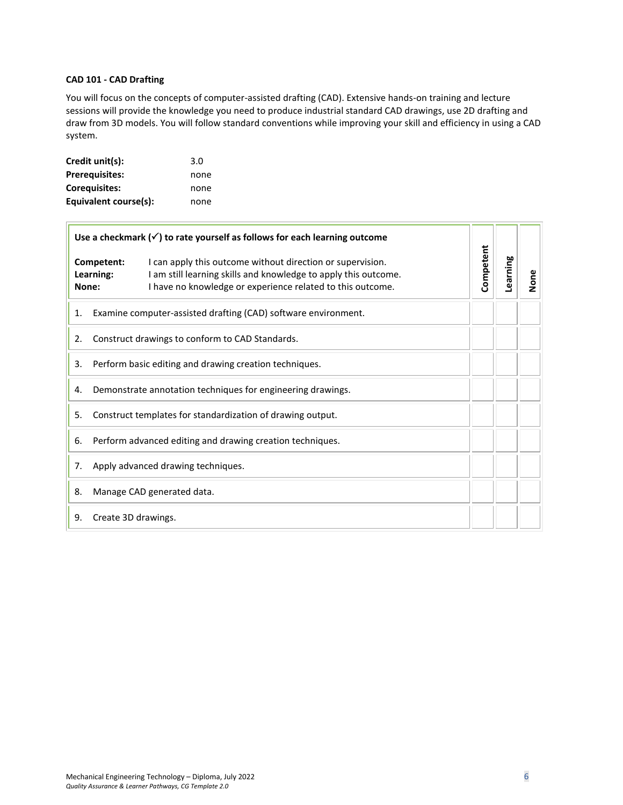# <span id="page-5-0"></span>**CAD 101 - CAD Drafting**

 $\overline{r}$ 

You will focus on the concepts of computer-assisted drafting (CAD). Extensive hands-on training and lecture sessions will provide the knowledge you need to produce industrial standard CAD drawings, use 2D drafting and draw from 3D models. You will follow standard conventions while improving your skill and efficiency in using a CAD system.

| Credit unit(s):       | 3.0  |
|-----------------------|------|
| <b>Prerequisites:</b> | none |
| Coreguisites:         | none |
| Equivalent course(s): | none |

| Use a checkmark $(\checkmark)$ to rate yourself as follows for each learning outcome |                                    |                                                                                                                                                                                             |           |          |      |
|--------------------------------------------------------------------------------------|------------------------------------|---------------------------------------------------------------------------------------------------------------------------------------------------------------------------------------------|-----------|----------|------|
|                                                                                      | Competent:<br>Learning:<br>None:   | I can apply this outcome without direction or supervision.<br>I am still learning skills and knowledge to apply this outcome.<br>I have no knowledge or experience related to this outcome. | Competent | Learning | None |
| Examine computer-assisted drafting (CAD) software environment.<br>1.                 |                                    |                                                                                                                                                                                             |           |          |      |
| Construct drawings to conform to CAD Standards.<br>2.                                |                                    |                                                                                                                                                                                             |           |          |      |
| Perform basic editing and drawing creation techniques.<br>3.                         |                                    |                                                                                                                                                                                             |           |          |      |
| Demonstrate annotation techniques for engineering drawings.<br>4.                    |                                    |                                                                                                                                                                                             |           |          |      |
| Construct templates for standardization of drawing output.<br>5.                     |                                    |                                                                                                                                                                                             |           |          |      |
| Perform advanced editing and drawing creation techniques.<br>6.                      |                                    |                                                                                                                                                                                             |           |          |      |
| 7.                                                                                   | Apply advanced drawing techniques. |                                                                                                                                                                                             |           |          |      |
| 8.                                                                                   | Manage CAD generated data.         |                                                                                                                                                                                             |           |          |      |
| Create 3D drawings.<br>9.                                                            |                                    |                                                                                                                                                                                             |           |          |      |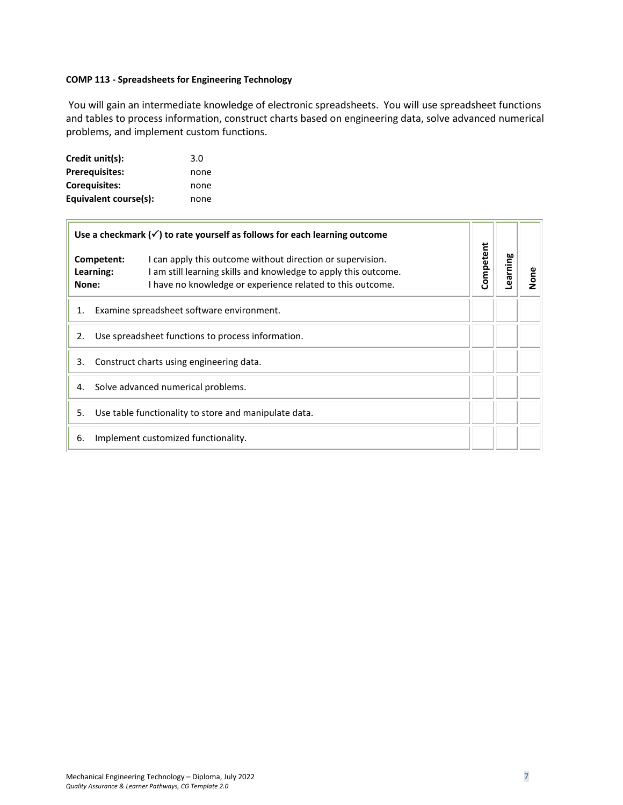# <span id="page-6-0"></span>**COMP 113 - Spreadsheets for Engineering Technology**

You will gain an intermediate knowledge of electronic spreadsheets. You will use spreadsheet functions and tables to process information, construct charts based on engineering data, solve advanced numerical problems, and implement custom functions.

| Credit unit(s):       | 3.0  |
|-----------------------|------|
| <b>Prerequisites:</b> | none |
| <b>Corequisites:</b>  | none |
| Equivalent course(s): | none |

| Use a checkmark $(\checkmark)$ to rate yourself as follows for each learning outcome |                                           |                                                                                                                                                                                             |           |          |      |
|--------------------------------------------------------------------------------------|-------------------------------------------|---------------------------------------------------------------------------------------------------------------------------------------------------------------------------------------------|-----------|----------|------|
| None:                                                                                | Competent:<br>Learning:                   | I can apply this outcome without direction or supervision.<br>I am still learning skills and knowledge to apply this outcome.<br>I have no knowledge or experience related to this outcome. | Competent | Learning | None |
| 1.                                                                                   | Examine spreadsheet software environment. |                                                                                                                                                                                             |           |          |      |
| Use spreadsheet functions to process information.<br>2.                              |                                           |                                                                                                                                                                                             |           |          |      |
| Construct charts using engineering data.<br>3.                                       |                                           |                                                                                                                                                                                             |           |          |      |
| Solve advanced numerical problems.<br>4.                                             |                                           |                                                                                                                                                                                             |           |          |      |
| Use table functionality to store and manipulate data.<br>5.                          |                                           |                                                                                                                                                                                             |           |          |      |
| 6.<br>Implement customized functionality.                                            |                                           |                                                                                                                                                                                             |           |          |      |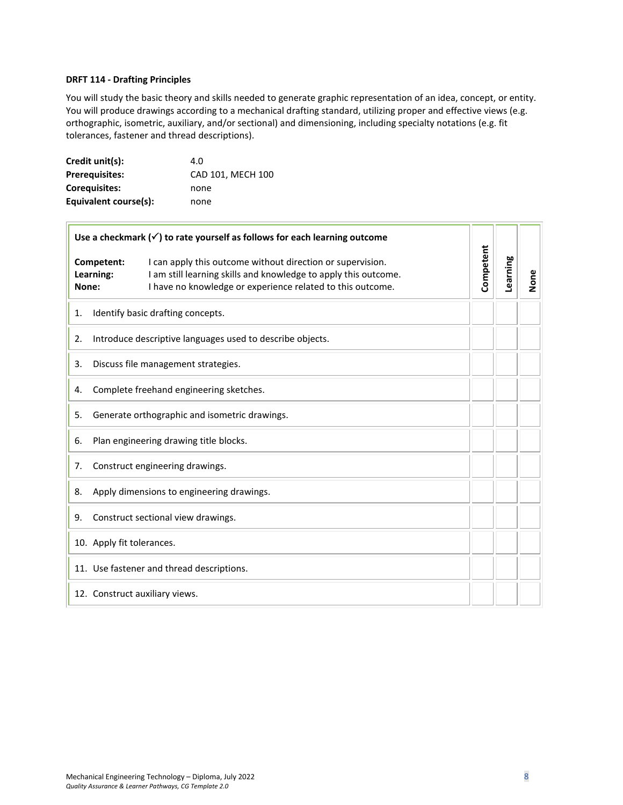#### <span id="page-7-0"></span>**DRFT 114 - Drafting Principles**

You will study the basic theory and skills needed to generate graphic representation of an idea, concept, or entity. You will produce drawings according to a mechanical drafting standard, utilizing proper and effective views (e.g. orthographic, isometric, auxiliary, and/or sectional) and dimensioning, including specialty notations (e.g. fit tolerances, fastener and thread descriptions).

| Credit unit(s):       | 4.O               |
|-----------------------|-------------------|
| <b>Prerequisites:</b> | CAD 101, MECH 100 |
| Coreguisites:         | none              |
| Equivalent course(s): | none              |

| Use a checkmark $(\checkmark)$ to rate yourself as follows for each learning outcome                                                                                                                                            |                                   |           |          |      |
|---------------------------------------------------------------------------------------------------------------------------------------------------------------------------------------------------------------------------------|-----------------------------------|-----------|----------|------|
| Competent:<br>I can apply this outcome without direction or supervision.<br>I am still learning skills and knowledge to apply this outcome.<br>Learning:<br>I have no knowledge or experience related to this outcome.<br>None: |                                   | Competent | Learning | None |
| 1.                                                                                                                                                                                                                              | Identify basic drafting concepts. |           |          |      |
| Introduce descriptive languages used to describe objects.<br>2.                                                                                                                                                                 |                                   |           |          |      |
| Discuss file management strategies.<br>3.                                                                                                                                                                                       |                                   |           |          |      |
| Complete freehand engineering sketches.<br>4.                                                                                                                                                                                   |                                   |           |          |      |
| Generate orthographic and isometric drawings.<br>5.                                                                                                                                                                             |                                   |           |          |      |
| Plan engineering drawing title blocks.<br>6.                                                                                                                                                                                    |                                   |           |          |      |
| Construct engineering drawings.<br>7.                                                                                                                                                                                           |                                   |           |          |      |
| Apply dimensions to engineering drawings.<br>8.                                                                                                                                                                                 |                                   |           |          |      |
| Construct sectional view drawings.<br>9.                                                                                                                                                                                        |                                   |           |          |      |
| 10. Apply fit tolerances.                                                                                                                                                                                                       |                                   |           |          |      |
| 11. Use fastener and thread descriptions.                                                                                                                                                                                       |                                   |           |          |      |
| 12. Construct auxiliary views.                                                                                                                                                                                                  |                                   |           |          |      |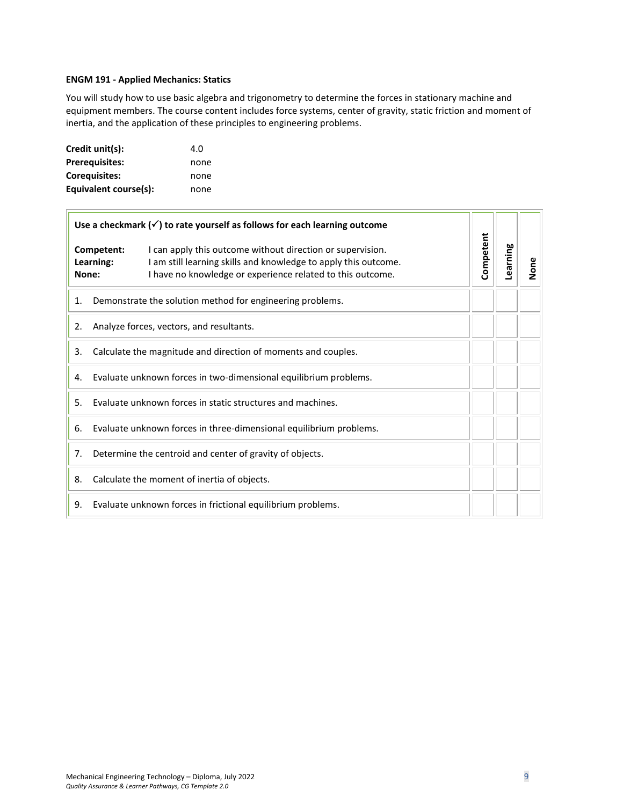# <span id="page-8-0"></span>**ENGM 191 - Applied Mechanics: Statics**

You will study how to use basic algebra and trigonometry to determine the forces in stationary machine and equipment members. The course content includes force systems, center of gravity, static friction and moment of inertia, and the application of these principles to engineering problems.

| Credit unit(s):       | 4.O  |
|-----------------------|------|
| <b>Prerequisites:</b> | none |
| <b>Corequisites:</b>  | none |
| Equivalent course(s): | none |

| Use a checkmark $(\checkmark)$ to rate yourself as follows for each learning outcome |                                                                    |                                                                                                                                                                                             |           |          |      |
|--------------------------------------------------------------------------------------|--------------------------------------------------------------------|---------------------------------------------------------------------------------------------------------------------------------------------------------------------------------------------|-----------|----------|------|
|                                                                                      | Competent:<br>Learning:<br>None:                                   | I can apply this outcome without direction or supervision.<br>I am still learning skills and knowledge to apply this outcome.<br>I have no knowledge or experience related to this outcome. | Competent | Learning | None |
| Demonstrate the solution method for engineering problems.<br>1.                      |                                                                    |                                                                                                                                                                                             |           |          |      |
| Analyze forces, vectors, and resultants.<br>2.                                       |                                                                    |                                                                                                                                                                                             |           |          |      |
| Calculate the magnitude and direction of moments and couples.<br>3.                  |                                                                    |                                                                                                                                                                                             |           |          |      |
| Evaluate unknown forces in two-dimensional equilibrium problems.<br>4.               |                                                                    |                                                                                                                                                                                             |           |          |      |
| Evaluate unknown forces in static structures and machines.<br>5.                     |                                                                    |                                                                                                                                                                                             |           |          |      |
| 6.                                                                                   | Evaluate unknown forces in three-dimensional equilibrium problems. |                                                                                                                                                                                             |           |          |      |
| 7.                                                                                   | Determine the centroid and center of gravity of objects.           |                                                                                                                                                                                             |           |          |      |
| 8.                                                                                   | Calculate the moment of inertia of objects.                        |                                                                                                                                                                                             |           |          |      |
| Evaluate unknown forces in frictional equilibrium problems.<br>9.                    |                                                                    |                                                                                                                                                                                             |           |          |      |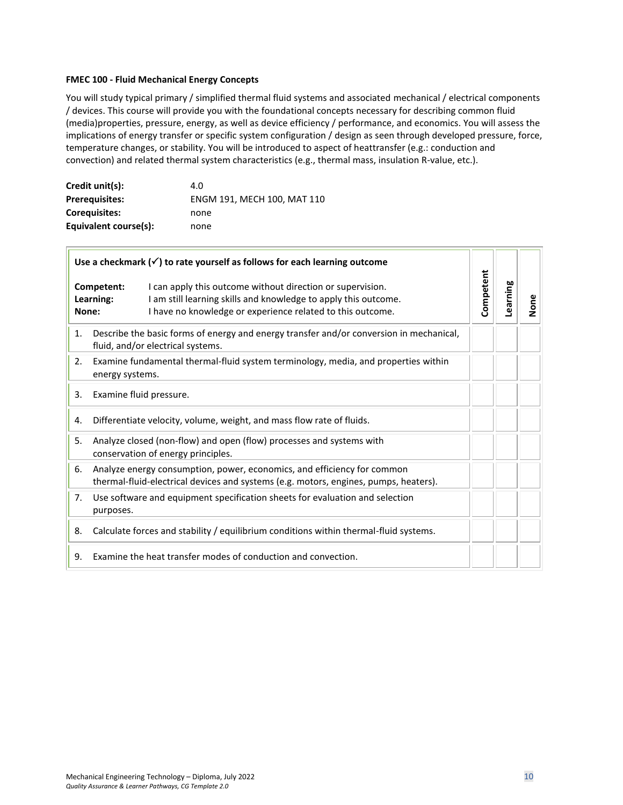#### <span id="page-9-0"></span>**FMEC 100 - Fluid Mechanical Energy Concepts**

You will study typical primary / simplified thermal fluid systems and associated mechanical / electrical components / devices. This course will provide you with the foundational concepts necessary for describing common fluid (media)properties, pressure, energy, as well as device efficiency / performance, and economics. You will assess the implications of energy transfer or specific system configuration / design as seen through developed pressure, force, temperature changes, or stability. You will be introduced to aspect of heattransfer (e.g.: conduction and convection) and related thermal system characteristics (e.g., thermal mass, insulation R-value, etc.).

| Credit unit(s):       | 4.0                         |
|-----------------------|-----------------------------|
| <b>Prerequisites:</b> | ENGM 191, MECH 100, MAT 110 |
| <b>Coreguisites:</b>  | none                        |
| Equivalent course(s): | none                        |

| Use a checkmark $(\checkmark)$ to rate yourself as follows for each learning outcome |                                                                                                                                                                 |                                                                                                                                                                                             |           |          |      |
|--------------------------------------------------------------------------------------|-----------------------------------------------------------------------------------------------------------------------------------------------------------------|---------------------------------------------------------------------------------------------------------------------------------------------------------------------------------------------|-----------|----------|------|
|                                                                                      | Competent:<br>Learning:<br>None:                                                                                                                                | I can apply this outcome without direction or supervision.<br>I am still learning skills and knowledge to apply this outcome.<br>I have no knowledge or experience related to this outcome. | Competent | Learning | None |
| 1.                                                                                   | Describe the basic forms of energy and energy transfer and/or conversion in mechanical,<br>fluid, and/or electrical systems.                                    |                                                                                                                                                                                             |           |          |      |
| 2.                                                                                   | Examine fundamental thermal-fluid system terminology, media, and properties within<br>energy systems.                                                           |                                                                                                                                                                                             |           |          |      |
| 3.                                                                                   | Examine fluid pressure.                                                                                                                                         |                                                                                                                                                                                             |           |          |      |
| 4.                                                                                   | Differentiate velocity, volume, weight, and mass flow rate of fluids.                                                                                           |                                                                                                                                                                                             |           |          |      |
| 5.                                                                                   | Analyze closed (non-flow) and open (flow) processes and systems with<br>conservation of energy principles.                                                      |                                                                                                                                                                                             |           |          |      |
| 6.                                                                                   | Analyze energy consumption, power, economics, and efficiency for common<br>thermal-fluid-electrical devices and systems (e.g. motors, engines, pumps, heaters). |                                                                                                                                                                                             |           |          |      |
| 7.                                                                                   | Use software and equipment specification sheets for evaluation and selection<br>purposes.                                                                       |                                                                                                                                                                                             |           |          |      |
| 8.                                                                                   |                                                                                                                                                                 | Calculate forces and stability / equilibrium conditions within thermal-fluid systems.                                                                                                       |           |          |      |
| 9.                                                                                   |                                                                                                                                                                 | Examine the heat transfer modes of conduction and convection.                                                                                                                               |           |          |      |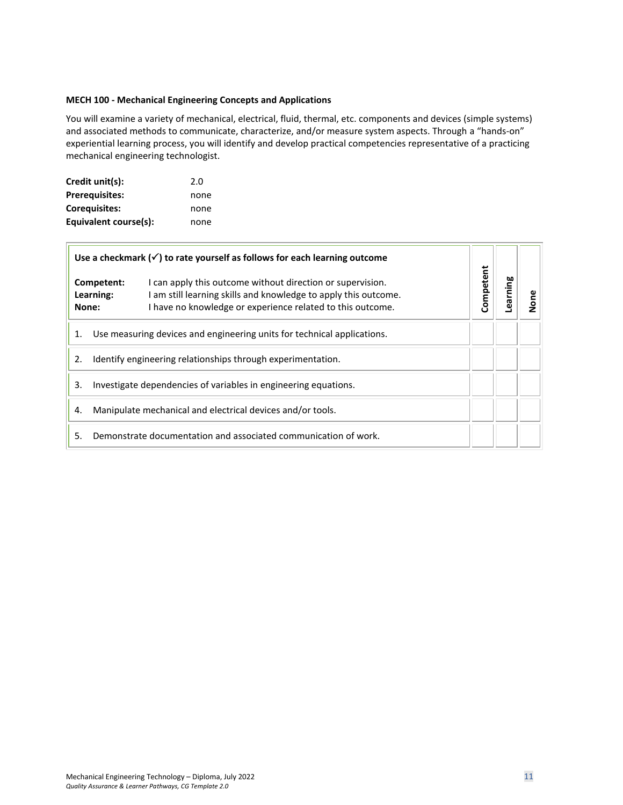# <span id="page-10-0"></span>**MECH 100 - Mechanical Engineering Concepts and Applications**

You will examine a variety of mechanical, electrical, fluid, thermal, etc. components and devices (simple systems) and associated methods to communicate, characterize, and/or measure system aspects. Through a "hands-on" experiential learning process, you will identify and develop practical competencies representative of a practicing mechanical engineering technologist.

| Credit unit(s):       | 2.0  |
|-----------------------|------|
| Prerequisites:        | none |
| <b>Corequisites:</b>  | none |
| Equivalent course(s): | none |

| Use a checkmark $(\checkmark)$ to rate yourself as follows for each learning outcome |                                                                                                                                                                                                                               |           |         |   |
|--------------------------------------------------------------------------------------|-------------------------------------------------------------------------------------------------------------------------------------------------------------------------------------------------------------------------------|-----------|---------|---|
|                                                                                      | I can apply this outcome without direction or supervision.<br>Competent:<br>Learning:<br>am still learning skills and knowledge to apply this outcome.<br>I have no knowledge or experience related to this outcome.<br>None: | Competent | earning | ā |
| Use measuring devices and engineering units for technical applications.<br>1.        |                                                                                                                                                                                                                               |           |         |   |
| Identify engineering relationships through experimentation.<br>2.                    |                                                                                                                                                                                                                               |           |         |   |
| Investigate dependencies of variables in engineering equations.<br>3.                |                                                                                                                                                                                                                               |           |         |   |
| Manipulate mechanical and electrical devices and/or tools.<br>4.                     |                                                                                                                                                                                                                               |           |         |   |
| Demonstrate documentation and associated communication of work.<br>5.                |                                                                                                                                                                                                                               |           |         |   |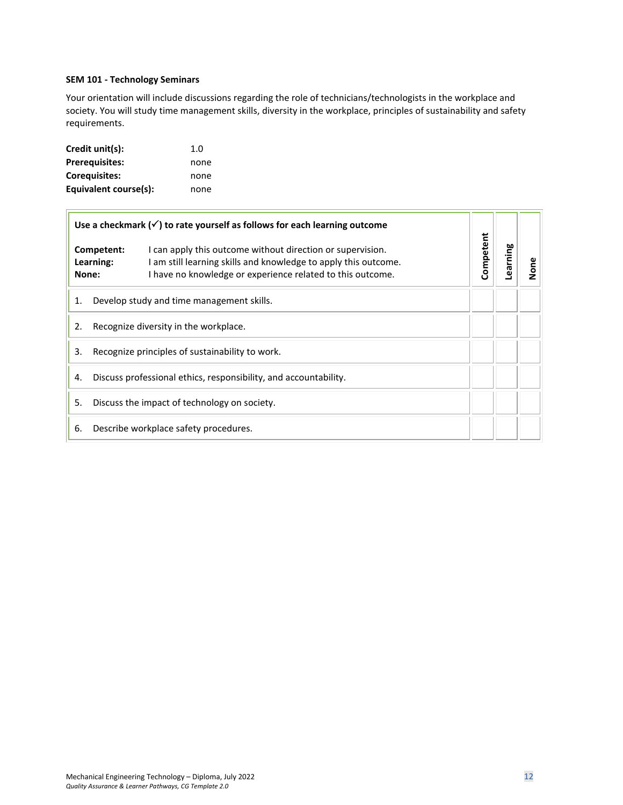# <span id="page-11-0"></span>**SEM 101 - Technology Seminars**

Your orientation will include discussions regarding the role of technicians/technologists in the workplace and society. You will study time management skills, diversity in the workplace, principles of sustainability and safety requirements.

| Credit unit(s):       | 1.0  |
|-----------------------|------|
| <b>Prerequisites:</b> | none |
| Coreguisites:         | none |
| Equivalent course(s): | none |

 $\overline{1}$ 

| Use a checkmark $(\checkmark)$ to rate yourself as follows for each learning outcome |                                              |                                                                                                                                                                                             |           |          |      |
|--------------------------------------------------------------------------------------|----------------------------------------------|---------------------------------------------------------------------------------------------------------------------------------------------------------------------------------------------|-----------|----------|------|
|                                                                                      | Competent:<br>Learning:<br>None:             | I can apply this outcome without direction or supervision.<br>I am still learning skills and knowledge to apply this outcome.<br>I have no knowledge or experience related to this outcome. | Competent | Learning | None |
| 1.                                                                                   | Develop study and time management skills.    |                                                                                                                                                                                             |           |          |      |
| 2.                                                                                   | Recognize diversity in the workplace.        |                                                                                                                                                                                             |           |          |      |
| 3.<br>Recognize principles of sustainability to work.                                |                                              |                                                                                                                                                                                             |           |          |      |
| Discuss professional ethics, responsibility, and accountability.<br>4.               |                                              |                                                                                                                                                                                             |           |          |      |
| 5.                                                                                   | Discuss the impact of technology on society. |                                                                                                                                                                                             |           |          |      |
| 6.                                                                                   | Describe workplace safety procedures.        |                                                                                                                                                                                             |           |          |      |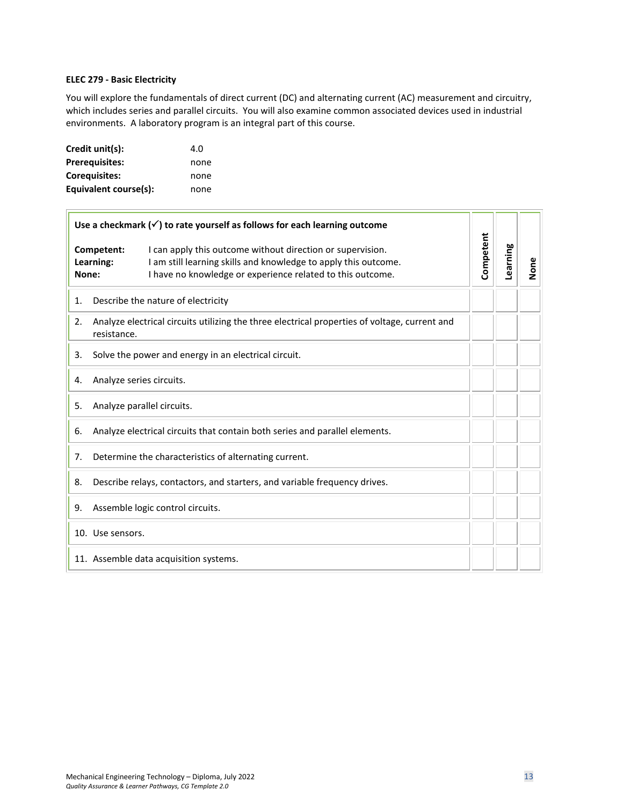# <span id="page-12-0"></span>**ELEC 279 - Basic Electricity**

You will explore the fundamentals of direct current (DC) and alternating current (AC) measurement and circuitry, which includes series and parallel circuits. You will also examine common associated devices used in industrial environments. A laboratory program is an integral part of this course.

| Credit unit(s):       | 4.O  |
|-----------------------|------|
| <b>Prerequisites:</b> | none |
| <b>Corequisites:</b>  | none |
| Equivalent course(s): | none |

| Use a checkmark $(\checkmark)$ to rate yourself as follows for each learning outcome |                                                                                                                                                                                                                        |           |          |      |
|--------------------------------------------------------------------------------------|------------------------------------------------------------------------------------------------------------------------------------------------------------------------------------------------------------------------|-----------|----------|------|
| None:                                                                                | I can apply this outcome without direction or supervision.<br>Competent:<br>Learning:<br>I am still learning skills and knowledge to apply this outcome.<br>I have no knowledge or experience related to this outcome. | Competent | Learning | None |
| 1.                                                                                   | Describe the nature of electricity                                                                                                                                                                                     |           |          |      |
| 2.                                                                                   | Analyze electrical circuits utilizing the three electrical properties of voltage, current and<br>resistance.                                                                                                           |           |          |      |
| 3.                                                                                   | Solve the power and energy in an electrical circuit.                                                                                                                                                                   |           |          |      |
| Analyze series circuits.<br>4.                                                       |                                                                                                                                                                                                                        |           |          |      |
| Analyze parallel circuits.<br>5.                                                     |                                                                                                                                                                                                                        |           |          |      |
| Analyze electrical circuits that contain both series and parallel elements.<br>6.    |                                                                                                                                                                                                                        |           |          |      |
| Determine the characteristics of alternating current.<br>7.                          |                                                                                                                                                                                                                        |           |          |      |
| 8.                                                                                   | Describe relays, contactors, and starters, and variable frequency drives.                                                                                                                                              |           |          |      |
| 9.                                                                                   | Assemble logic control circuits.                                                                                                                                                                                       |           |          |      |
|                                                                                      | 10. Use sensors.                                                                                                                                                                                                       |           |          |      |
| 11. Assemble data acquisition systems.                                               |                                                                                                                                                                                                                        |           |          |      |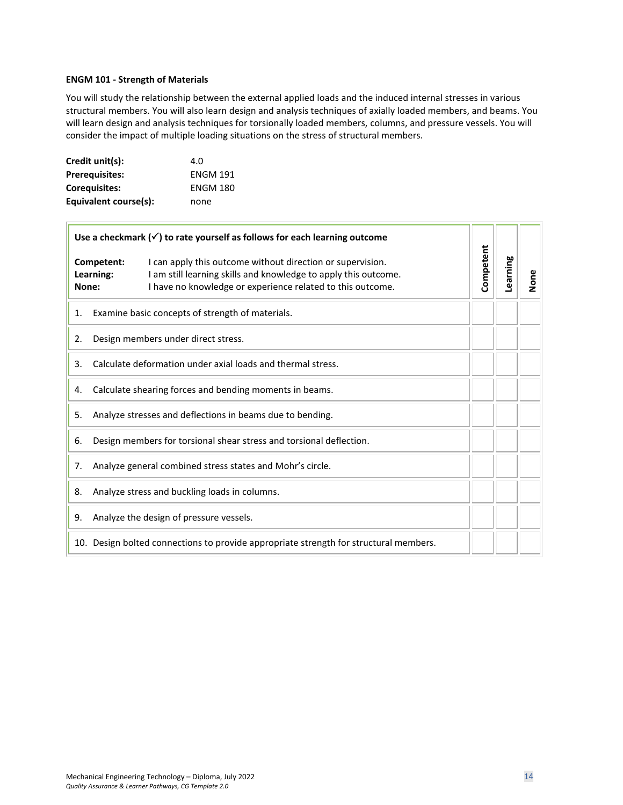#### <span id="page-13-0"></span>**ENGM 101 - Strength of Materials**

You will study the relationship between the external applied loads and the induced internal stresses in various structural members. You will also learn design and analysis techniques of axially loaded members, and beams. You will learn design and analysis techniques for torsionally loaded members, columns, and pressure vessels. You will consider the impact of multiple loading situations on the stress of structural members.

| Credit unit(s):       | 4.0             |
|-----------------------|-----------------|
| <b>Prerequisites:</b> | <b>ENGM 191</b> |
| Coreguisites:         | <b>ENGM 180</b> |
| Equivalent course(s): | none            |

| Use a checkmark $(\checkmark)$ to rate yourself as follows for each learning outcome |                                                                                       |                                                                                                                                                                                             |           |          |      |
|--------------------------------------------------------------------------------------|---------------------------------------------------------------------------------------|---------------------------------------------------------------------------------------------------------------------------------------------------------------------------------------------|-----------|----------|------|
| None:                                                                                | Competent:<br>Learning:                                                               | I can apply this outcome without direction or supervision.<br>I am still learning skills and knowledge to apply this outcome.<br>I have no knowledge or experience related to this outcome. | Competent | Learning | None |
| 1.                                                                                   | Examine basic concepts of strength of materials.                                      |                                                                                                                                                                                             |           |          |      |
| 2.                                                                                   |                                                                                       | Design members under direct stress.                                                                                                                                                         |           |          |      |
| 3.                                                                                   | Calculate deformation under axial loads and thermal stress.                           |                                                                                                                                                                                             |           |          |      |
| Calculate shearing forces and bending moments in beams.<br>4.                        |                                                                                       |                                                                                                                                                                                             |           |          |      |
| Analyze stresses and deflections in beams due to bending.<br>5.                      |                                                                                       |                                                                                                                                                                                             |           |          |      |
| Design members for torsional shear stress and torsional deflection.<br>6.            |                                                                                       |                                                                                                                                                                                             |           |          |      |
| 7.                                                                                   | Analyze general combined stress states and Mohr's circle.                             |                                                                                                                                                                                             |           |          |      |
| 8.                                                                                   | Analyze stress and buckling loads in columns.                                         |                                                                                                                                                                                             |           |          |      |
| 9.                                                                                   | Analyze the design of pressure vessels.                                               |                                                                                                                                                                                             |           |          |      |
|                                                                                      | 10. Design bolted connections to provide appropriate strength for structural members. |                                                                                                                                                                                             |           |          |      |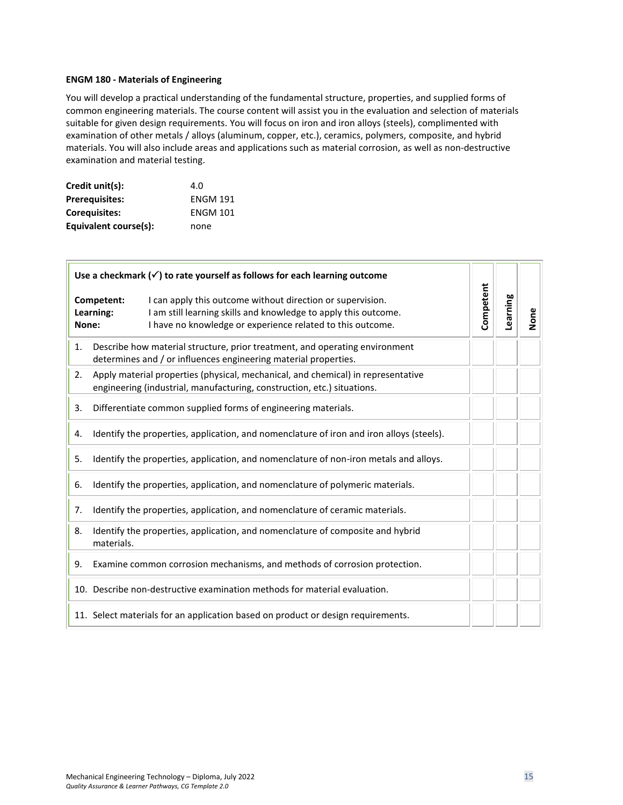#### <span id="page-14-0"></span>**ENGM 180 - Materials of Engineering**

You will develop a practical understanding of the fundamental structure, properties, and supplied forms of common engineering materials. The course content will assist you in the evaluation and selection of materials suitable for given design requirements. You will focus on iron and iron alloys (steels), complimented with examination of other metals / alloys (aluminum, copper, etc.), ceramics, polymers, composite, and hybrid materials. You will also include areas and applications such as material corrosion, as well as non-destructive examination and material testing.

| Credit unit(s):       | 4.O             |
|-----------------------|-----------------|
| <b>Prerequisites:</b> | <b>ENGM 191</b> |
| <b>Corequisites:</b>  | <b>ENGM 101</b> |
| Equivalent course(s): | none            |

| Use a checkmark $(\checkmark)$ to rate yourself as follows for each learning outcome |                                                                                                                                                                                                                        |           |          |      |
|--------------------------------------------------------------------------------------|------------------------------------------------------------------------------------------------------------------------------------------------------------------------------------------------------------------------|-----------|----------|------|
| None:                                                                                | I can apply this outcome without direction or supervision.<br>Competent:<br>I am still learning skills and knowledge to apply this outcome.<br>Learning:<br>I have no knowledge or experience related to this outcome. | Competent | Learning | None |
| 1.                                                                                   | Describe how material structure, prior treatment, and operating environment<br>determines and / or influences engineering material properties.                                                                         |           |          |      |
| 2.                                                                                   | Apply material properties (physical, mechanical, and chemical) in representative<br>engineering (industrial, manufacturing, construction, etc.) situations.                                                            |           |          |      |
| 3.                                                                                   | Differentiate common supplied forms of engineering materials.                                                                                                                                                          |           |          |      |
| 4.                                                                                   | Identify the properties, application, and nomenclature of iron and iron alloys (steels).                                                                                                                               |           |          |      |
| 5.                                                                                   | Identify the properties, application, and nomenclature of non-iron metals and alloys.                                                                                                                                  |           |          |      |
| Identify the properties, application, and nomenclature of polymeric materials.<br>6. |                                                                                                                                                                                                                        |           |          |      |
| 7.                                                                                   | Identify the properties, application, and nomenclature of ceramic materials.                                                                                                                                           |           |          |      |
| 8.                                                                                   | Identify the properties, application, and nomenclature of composite and hybrid<br>materials.                                                                                                                           |           |          |      |
| 9.                                                                                   | Examine common corrosion mechanisms, and methods of corrosion protection.                                                                                                                                              |           |          |      |
|                                                                                      | 10. Describe non-destructive examination methods for material evaluation.                                                                                                                                              |           |          |      |
|                                                                                      | 11. Select materials for an application based on product or design requirements.                                                                                                                                       |           |          |      |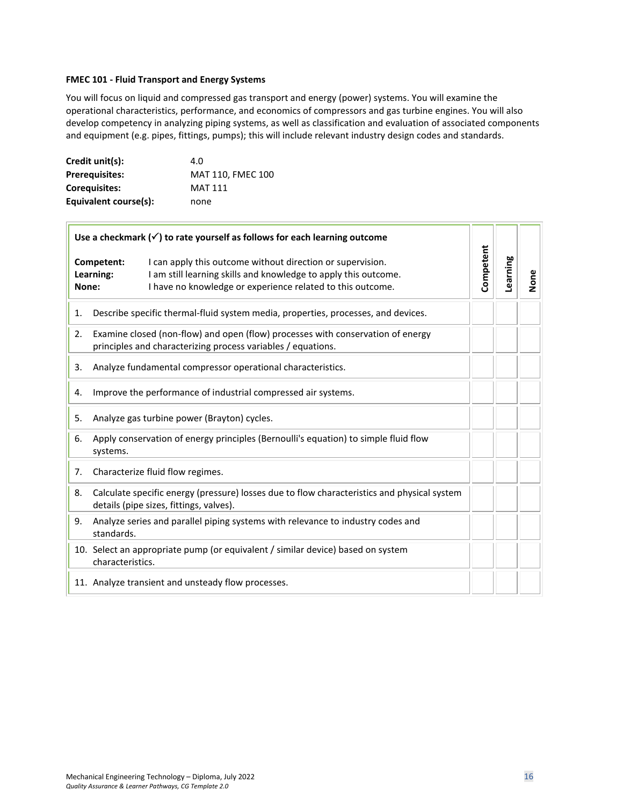#### <span id="page-15-0"></span>**FMEC 101 - Fluid Transport and Energy Systems**

You will focus on liquid and compressed gas transport and energy (power) systems. You will examine the operational characteristics, performance, and economics of compressors and gas turbine engines. You will also develop competency in analyzing piping systems, as well as classification and evaluation of associated components and equipment (e.g. pipes, fittings, pumps); this will include relevant industry design codes and standards.

| Credit unit(s):       | 4.O               |
|-----------------------|-------------------|
| <b>Prerequisites:</b> | MAT 110, FMEC 100 |
| Coreguisites:         | <b>MAT 111</b>    |
| Equivalent course(s): | none              |

 $\Box$ 

| Use a checkmark $(\checkmark)$ to rate yourself as follows for each learning outcome                                                                                                                                            |           |          |      |
|---------------------------------------------------------------------------------------------------------------------------------------------------------------------------------------------------------------------------------|-----------|----------|------|
| Competent:<br>I can apply this outcome without direction or supervision.<br>I am still learning skills and knowledge to apply this outcome.<br>Learning:<br>I have no knowledge or experience related to this outcome.<br>None: | Competent | Learning | None |
| Describe specific thermal-fluid system media, properties, processes, and devices.<br>1.                                                                                                                                         |           |          |      |
| Examine closed (non-flow) and open (flow) processes with conservation of energy<br>2.<br>principles and characterizing process variables / equations.                                                                           |           |          |      |
| Analyze fundamental compressor operational characteristics.<br>3.                                                                                                                                                               |           |          |      |
| Improve the performance of industrial compressed air systems.<br>4.                                                                                                                                                             |           |          |      |
| Analyze gas turbine power (Brayton) cycles.<br>5.                                                                                                                                                                               |           |          |      |
| Apply conservation of energy principles (Bernoulli's equation) to simple fluid flow<br>6.<br>systems.                                                                                                                           |           |          |      |
| Characterize fluid flow regimes.<br>7.                                                                                                                                                                                          |           |          |      |
| Calculate specific energy (pressure) losses due to flow characteristics and physical system<br>8.<br>details (pipe sizes, fittings, valves).                                                                                    |           |          |      |
| Analyze series and parallel piping systems with relevance to industry codes and<br>9.<br>standards.                                                                                                                             |           |          |      |
| 10. Select an appropriate pump (or equivalent / similar device) based on system<br>characteristics.                                                                                                                             |           |          |      |
| 11. Analyze transient and unsteady flow processes.                                                                                                                                                                              |           |          |      |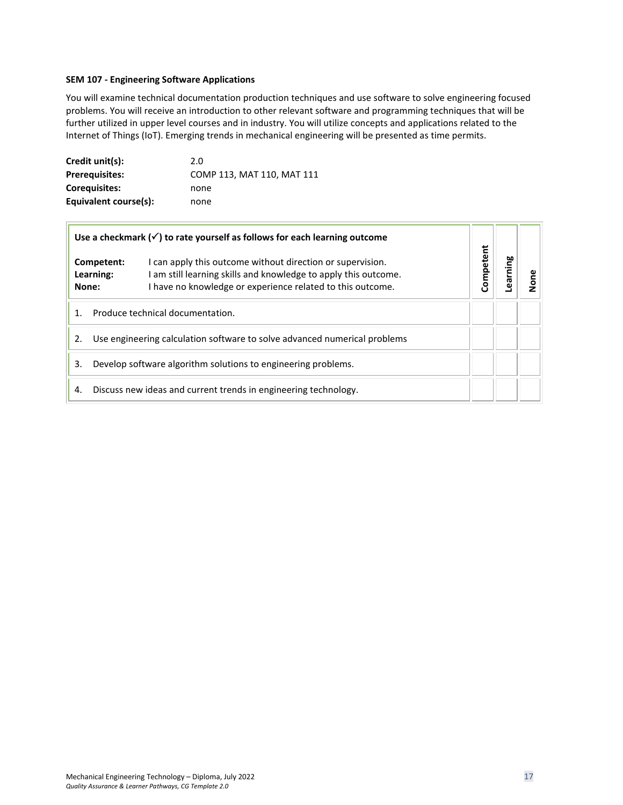#### <span id="page-16-0"></span>**SEM 107 - Engineering Software Applications**

You will examine technical documentation production techniques and use software to solve engineering focused problems. You will receive an introduction to other relevant software and programming techniques that will be further utilized in upper level courses and in industry. You will utilize concepts and applications related to the Internet of Things (IoT). Emerging trends in mechanical engineering will be presented as time permits.

| Credit unit(s):       | 2.0                        |
|-----------------------|----------------------------|
| <b>Prerequisites:</b> | COMP 113, MAT 110, MAT 111 |
| <b>Coreguisites:</b>  | none                       |
| Equivalent course(s): | none                       |

| Use a checkmark $(\checkmark)$ to rate yourself as follows for each learning outcome |                         |                                                                                                                                                                                           |           |        |  |
|--------------------------------------------------------------------------------------|-------------------------|-------------------------------------------------------------------------------------------------------------------------------------------------------------------------------------------|-----------|--------|--|
| None:                                                                                | Competent:<br>Learning: | I can apply this outcome without direction or supervision.<br>am still learning skills and knowledge to apply this outcome.<br>I have no knowledge or experience related to this outcome. | Competent | arning |  |
| Produce technical documentation.                                                     |                         |                                                                                                                                                                                           |           |        |  |
| Use engineering calculation software to solve advanced numerical problems<br>2.      |                         |                                                                                                                                                                                           |           |        |  |
| Develop software algorithm solutions to engineering problems.<br>3.                  |                         |                                                                                                                                                                                           |           |        |  |
| 4.                                                                                   |                         | Discuss new ideas and current trends in engineering technology.                                                                                                                           |           |        |  |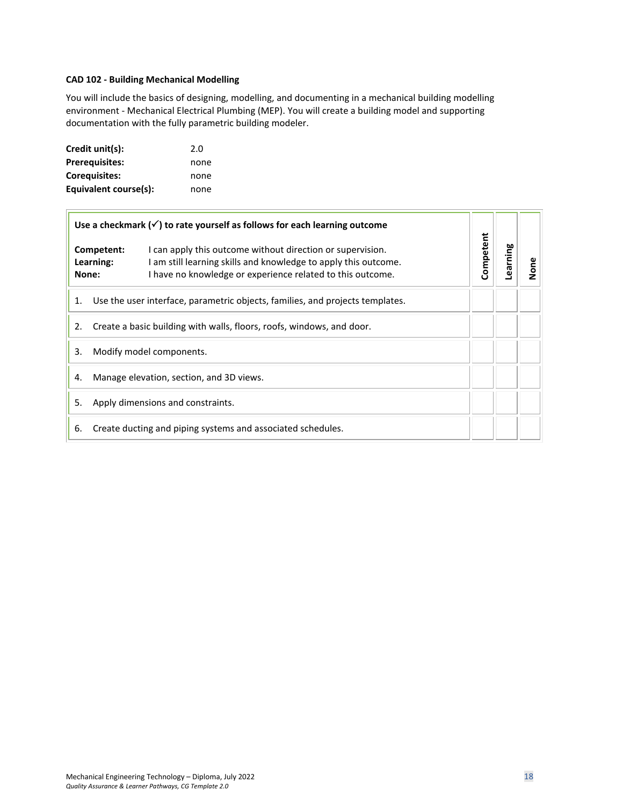# <span id="page-17-0"></span>**CAD 102 - Building Mechanical Modelling**

You will include the basics of designing, modelling, and documenting in a mechanical building modelling environment - Mechanical Electrical Plumbing (MEP). You will create a building model and supporting documentation with the fully parametric building modeler.

| Credit unit(s):       | 2.0  |
|-----------------------|------|
| <b>Prerequisites:</b> | none |
| <b>Corequisites:</b>  | none |
| Equivalent course(s): | none |

 $\overline{\phantom{a}}$ 

| Use a checkmark $(\checkmark)$ to rate yourself as follows for each learning outcome |                                          |                                                                                                                                                                                             |           |          |      |
|--------------------------------------------------------------------------------------|------------------------------------------|---------------------------------------------------------------------------------------------------------------------------------------------------------------------------------------------|-----------|----------|------|
|                                                                                      | Competent:<br>Learning:<br>None:         | I can apply this outcome without direction or supervision.<br>I am still learning skills and knowledge to apply this outcome.<br>I have no knowledge or experience related to this outcome. | Competent | Learning | None |
| Use the user interface, parametric objects, families, and projects templates.<br>1.  |                                          |                                                                                                                                                                                             |           |          |      |
| Create a basic building with walls, floors, roofs, windows, and door.<br>2.          |                                          |                                                                                                                                                                                             |           |          |      |
| 3.                                                                                   | Modify model components.                 |                                                                                                                                                                                             |           |          |      |
| 4.                                                                                   | Manage elevation, section, and 3D views. |                                                                                                                                                                                             |           |          |      |
| 5.<br>Apply dimensions and constraints.                                              |                                          |                                                                                                                                                                                             |           |          |      |
| Create ducting and piping systems and associated schedules.<br>6.                    |                                          |                                                                                                                                                                                             |           |          |      |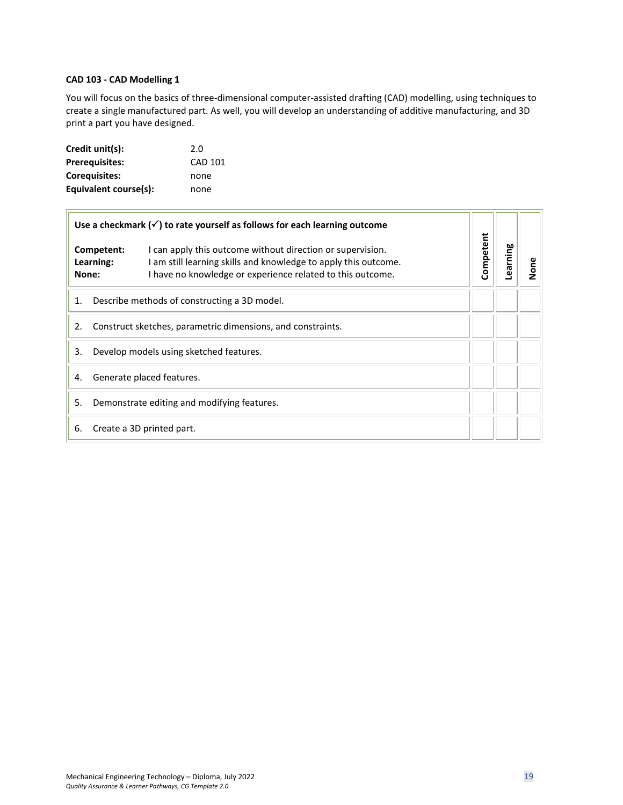# <span id="page-18-0"></span>**CAD 103 - CAD Modelling 1**

You will focus on the basics of three-dimensional computer-assisted drafting (CAD) modelling, using techniques to create a single manufactured part. As well, you will develop an understanding of additive manufacturing, and 3D print a part you have designed.

| Credit unit(s):       | 2.0            |
|-----------------------|----------------|
| <b>Prerequisites:</b> | <b>CAD 101</b> |
| Coreguisites:         | none           |
| Equivalent course(s): | none           |

|                                                                   |                                             | Use a checkmark $(\checkmark)$ to rate yourself as follows for each learning outcome                                                                                                        |           |          |      |
|-------------------------------------------------------------------|---------------------------------------------|---------------------------------------------------------------------------------------------------------------------------------------------------------------------------------------------|-----------|----------|------|
| None:                                                             | Competent:<br>Learning:                     | I can apply this outcome without direction or supervision.<br>I am still learning skills and knowledge to apply this outcome.<br>I have no knowledge or experience related to this outcome. | Competent | Learning | None |
| 1.                                                                |                                             | Describe methods of constructing a 3D model.                                                                                                                                                |           |          |      |
| Construct sketches, parametric dimensions, and constraints.<br>2. |                                             |                                                                                                                                                                                             |           |          |      |
| Develop models using sketched features.<br>3.                     |                                             |                                                                                                                                                                                             |           |          |      |
| Generate placed features.<br>4.                                   |                                             |                                                                                                                                                                                             |           |          |      |
| 5.                                                                | Demonstrate editing and modifying features. |                                                                                                                                                                                             |           |          |      |
| Create a 3D printed part.<br>6.                                   |                                             |                                                                                                                                                                                             |           |          |      |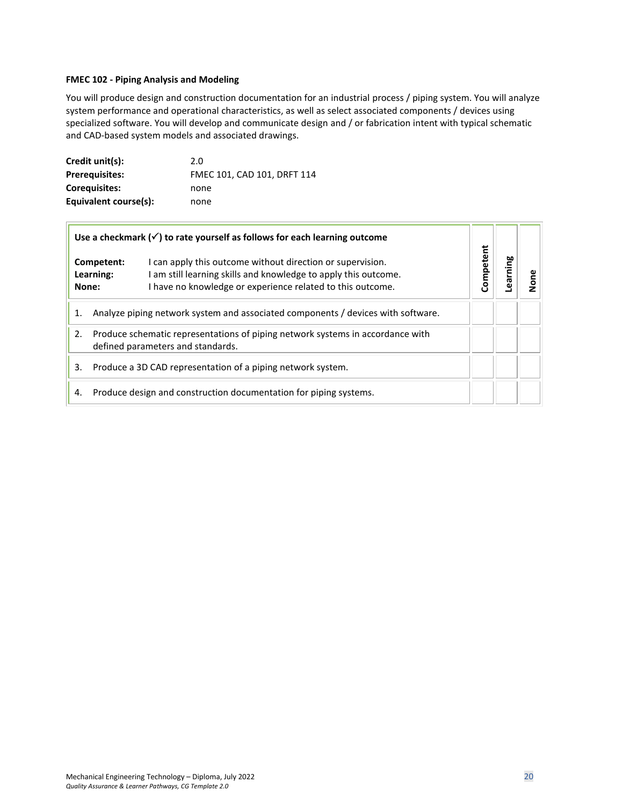# <span id="page-19-0"></span>**FMEC 102 - Piping Analysis and Modeling**

You will produce design and construction documentation for an industrial process / piping system. You will analyze system performance and operational characteristics, as well as select associated components / devices using specialized software. You will develop and communicate design and / or fabrication intent with typical schematic and CAD-based system models and associated drawings.

| Credit unit(s):       | 2.0                         |
|-----------------------|-----------------------------|
| <b>Prerequisites:</b> | FMEC 101, CAD 101, DRFT 114 |
| Coreguisites:         | none                        |
| Equivalent course(s): | none                        |

| Use a checkmark $(\checkmark)$ to rate yourself as follows for each learning outcome                                      |                         |                                                                                                                                                                                           |           |        |  |
|---------------------------------------------------------------------------------------------------------------------------|-------------------------|-------------------------------------------------------------------------------------------------------------------------------------------------------------------------------------------|-----------|--------|--|
| None:                                                                                                                     | Competent:<br>Learning: | I can apply this outcome without direction or supervision.<br>am still learning skills and knowledge to apply this outcome.<br>I have no knowledge or experience related to this outcome. | Competent | arning |  |
| Analyze piping network system and associated components / devices with software.<br>1.                                    |                         |                                                                                                                                                                                           |           |        |  |
| Produce schematic representations of piping network systems in accordance with<br>2.<br>defined parameters and standards. |                         |                                                                                                                                                                                           |           |        |  |
| Produce a 3D CAD representation of a piping network system.<br>3.                                                         |                         |                                                                                                                                                                                           |           |        |  |
| 4.                                                                                                                        |                         | Produce design and construction documentation for piping systems.                                                                                                                         |           |        |  |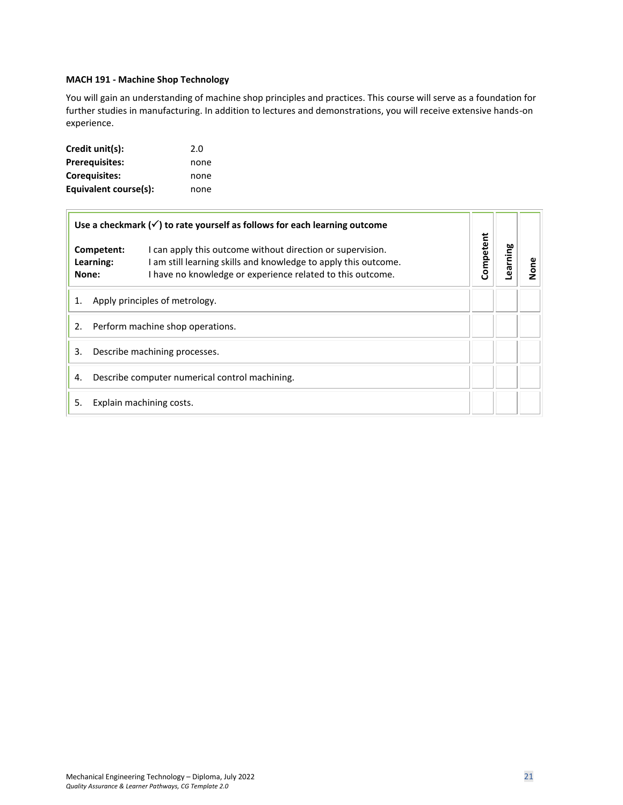# <span id="page-20-0"></span>**MACH 191 - Machine Shop Technology**

You will gain an understanding of machine shop principles and practices. This course will serve as a foundation for further studies in manufacturing. In addition to lectures and demonstrations, you will receive extensive hands-on experience.

| Credit unit(s):       | 2.0  |
|-----------------------|------|
| <b>Prerequisites:</b> | none |
| <b>Corequisites:</b>  | none |
| Equivalent course(s): | none |

| Use a checkmark $(\checkmark)$ to rate yourself as follows for each learning outcome |                                  |                                                                                                                                                                                             |           |          |      |
|--------------------------------------------------------------------------------------|----------------------------------|---------------------------------------------------------------------------------------------------------------------------------------------------------------------------------------------|-----------|----------|------|
|                                                                                      | Competent:<br>Learning:<br>None: | I can apply this outcome without direction or supervision.<br>I am still learning skills and knowledge to apply this outcome.<br>I have no knowledge or experience related to this outcome. | Competent | Learning | None |
| Apply principles of metrology.<br>1.                                                 |                                  |                                                                                                                                                                                             |           |          |      |
| Perform machine shop operations.<br>2.                                               |                                  |                                                                                                                                                                                             |           |          |      |
| 3.<br>Describe machining processes.                                                  |                                  |                                                                                                                                                                                             |           |          |      |
| Describe computer numerical control machining.<br>4.                                 |                                  |                                                                                                                                                                                             |           |          |      |
| 5.<br>Explain machining costs.                                                       |                                  |                                                                                                                                                                                             |           |          |      |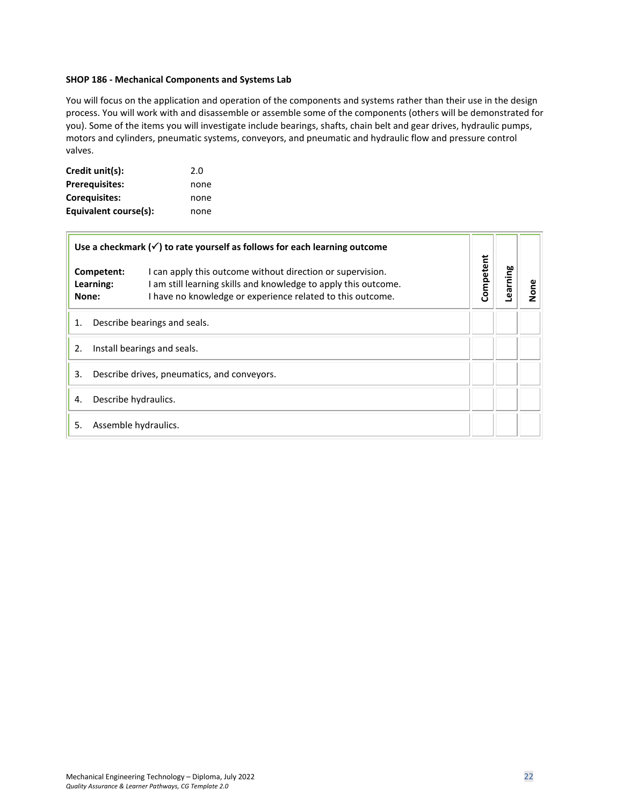#### **SHOP 186 - Mechanical Components and Systems Lab**

You will focus on the application and operation of the components and systems rather than their use in the design process. You will work with and disassemble or assemble some of the components (others will be demonstrated for you). Some of the items you will investigate include bearings, shafts, chain belt and gear drives, hydraulic pumps, motors and cylinders, pneumatic systems, conveyors, and pneumatic and hydraulic flow and pressure control valves.

| Credit unit(s):       | 2.0  |
|-----------------------|------|
| <b>Prerequisites:</b> | none |
| <b>Corequisites:</b>  | none |
| Equivalent course(s): | none |

r.

|                                                   | earning   | None |  |
|---------------------------------------------------|-----------|------|--|
| Describe bearings and seals.<br>1.                |           |      |  |
| Install bearings and seals.<br>2.                 |           |      |  |
| 3.<br>Describe drives, pneumatics, and conveyors. |           |      |  |
| Describe hydraulics.<br>4.                        |           |      |  |
| 5.<br>Assemble hydraulics.                        |           |      |  |
|                                                   | Competent |      |  |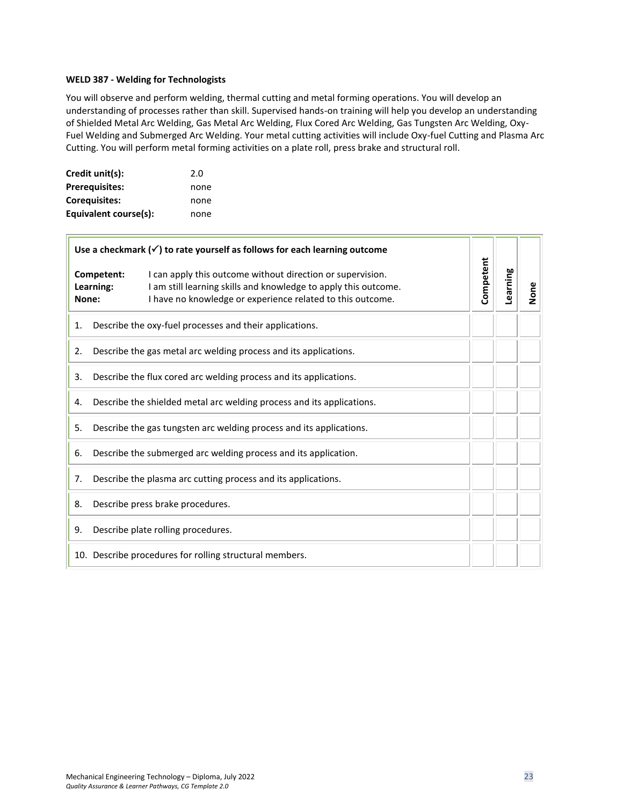#### <span id="page-22-0"></span>**WELD 387 - Welding for Technologists**

You will observe and perform welding, thermal cutting and metal forming operations. You will develop an understanding of processes rather than skill. Supervised hands-on training will help you develop an understanding of Shielded Metal Arc Welding, Gas Metal Arc Welding, Flux Cored Arc Welding, Gas Tungsten Arc Welding, Oxy-Fuel Welding and Submerged Arc Welding. Your metal cutting activities will include Oxy-fuel Cutting and Plasma Arc Cutting. You will perform metal forming activities on a plate roll, press brake and structural roll.

| Credit unit(s):       | 2.0  |
|-----------------------|------|
| <b>Prerequisites:</b> | none |
| Corequisites:         | none |
| Equivalent course(s): | none |

| Use a checkmark $(\checkmark)$ to rate yourself as follows for each learning outcome |                                                                     |                                                                                                                                                                                             |           |          |      |
|--------------------------------------------------------------------------------------|---------------------------------------------------------------------|---------------------------------------------------------------------------------------------------------------------------------------------------------------------------------------------|-----------|----------|------|
| None:                                                                                | Competent:<br>Learning:                                             | I can apply this outcome without direction or supervision.<br>I am still learning skills and knowledge to apply this outcome.<br>I have no knowledge or experience related to this outcome. | Competent | Learning | None |
| 1.                                                                                   |                                                                     | Describe the oxy-fuel processes and their applications.                                                                                                                                     |           |          |      |
| 2.                                                                                   |                                                                     | Describe the gas metal arc welding process and its applications.                                                                                                                            |           |          |      |
| 3.                                                                                   |                                                                     | Describe the flux cored arc welding process and its applications.                                                                                                                           |           |          |      |
| Describe the shielded metal arc welding process and its applications.<br>4.          |                                                                     |                                                                                                                                                                                             |           |          |      |
| 5.                                                                                   | Describe the gas tungsten arc welding process and its applications. |                                                                                                                                                                                             |           |          |      |
| 6.                                                                                   | Describe the submerged arc welding process and its application.     |                                                                                                                                                                                             |           |          |      |
| 7.                                                                                   | Describe the plasma arc cutting process and its applications.       |                                                                                                                                                                                             |           |          |      |
| 8.                                                                                   | Describe press brake procedures.                                    |                                                                                                                                                                                             |           |          |      |
| 9.                                                                                   | Describe plate rolling procedures.                                  |                                                                                                                                                                                             |           |          |      |
|                                                                                      | 10. Describe procedures for rolling structural members.             |                                                                                                                                                                                             |           |          |      |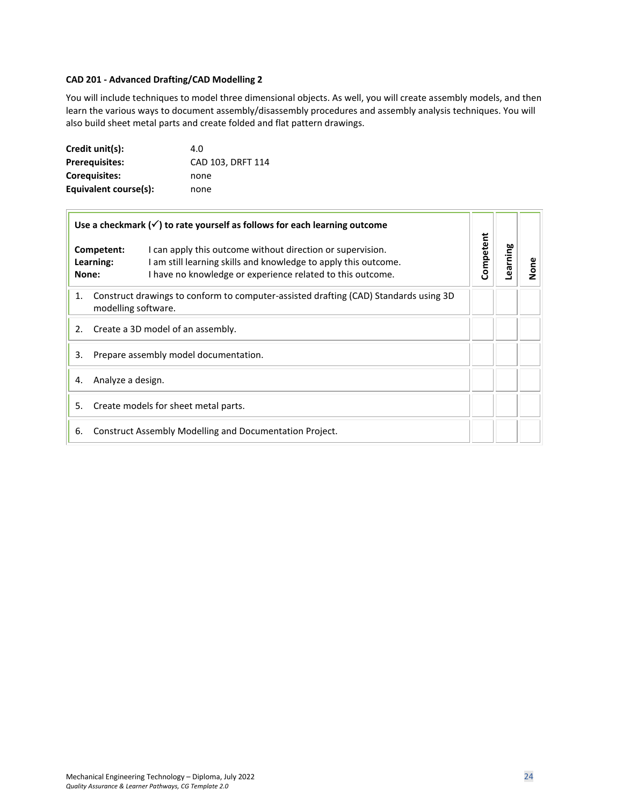# <span id="page-23-0"></span>**CAD 201 - Advanced Drafting/CAD Modelling 2**

You will include techniques to model three dimensional objects. As well, you will create assembly models, and then learn the various ways to document assembly/disassembly procedures and assembly analysis techniques. You will also build sheet metal parts and create folded and flat pattern drawings.

| Credit unit(s):       | 4.O               |
|-----------------------|-------------------|
| <b>Prerequisites:</b> | CAD 103, DRFT 114 |
| Coreguisites:         | none              |
| Equivalent course(s): | none              |

| Use a checkmark $(\checkmark)$ to rate yourself as follows for each learning outcome                              |                                                                                                                                                                                             |           |          |      |
|-------------------------------------------------------------------------------------------------------------------|---------------------------------------------------------------------------------------------------------------------------------------------------------------------------------------------|-----------|----------|------|
| Competent:<br>Learning:<br>None:                                                                                  | I can apply this outcome without direction or supervision.<br>I am still learning skills and knowledge to apply this outcome.<br>I have no knowledge or experience related to this outcome. | Competent | Learning | None |
| Construct drawings to conform to computer-assisted drafting (CAD) Standards using 3D<br>1.<br>modelling software. |                                                                                                                                                                                             |           |          |      |
| Create a 3D model of an assembly.<br>2.                                                                           |                                                                                                                                                                                             |           |          |      |
| 3.<br>Prepare assembly model documentation.                                                                       |                                                                                                                                                                                             |           |          |      |
| Analyze a design.<br>4.                                                                                           |                                                                                                                                                                                             |           |          |      |
| Create models for sheet metal parts.<br>5.                                                                        |                                                                                                                                                                                             |           |          |      |
| Construct Assembly Modelling and Documentation Project.<br>6.                                                     |                                                                                                                                                                                             |           |          |      |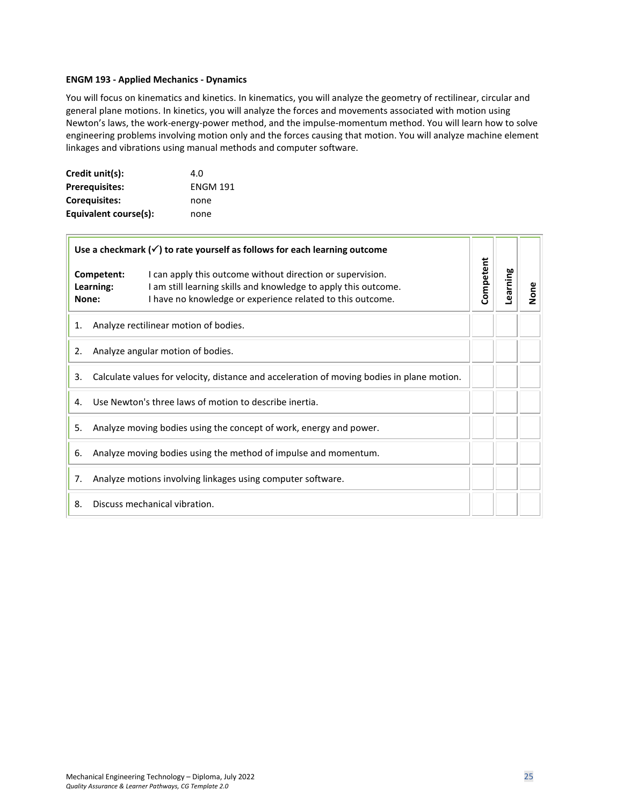#### <span id="page-24-0"></span>**ENGM 193 - Applied Mechanics - Dynamics**

You will focus on kinematics and kinetics. In kinematics, you will analyze the geometry of rectilinear, circular and general plane motions. In kinetics, you will analyze the forces and movements associated with motion using Newton's laws, the work-energy-power method, and the impulse-momentum method. You will learn how to solve engineering problems involving motion only and the forces causing that motion. You will analyze machine element linkages and vibrations using manual methods and computer software.

| Credit unit(s):       | 4.O             |
|-----------------------|-----------------|
| <b>Prerequisites:</b> | <b>ENGM 191</b> |
| <b>Corequisites:</b>  | none            |
| Equivalent course(s): | none            |

| Use a checkmark $(\checkmark)$ to rate yourself as follows for each learning outcome             |                                                                 |                                                                                                                                                                                             |           |          |      |
|--------------------------------------------------------------------------------------------------|-----------------------------------------------------------------|---------------------------------------------------------------------------------------------------------------------------------------------------------------------------------------------|-----------|----------|------|
|                                                                                                  | Competent:<br>Learning:<br>None:                                | I can apply this outcome without direction or supervision.<br>I am still learning skills and knowledge to apply this outcome.<br>I have no knowledge or experience related to this outcome. | Competent | Learning | None |
| 1.                                                                                               | Analyze rectilinear motion of bodies.                           |                                                                                                                                                                                             |           |          |      |
| Analyze angular motion of bodies.<br>2.                                                          |                                                                 |                                                                                                                                                                                             |           |          |      |
| Calculate values for velocity, distance and acceleration of moving bodies in plane motion.<br>3. |                                                                 |                                                                                                                                                                                             |           |          |      |
| Use Newton's three laws of motion to describe inertia.<br>4.                                     |                                                                 |                                                                                                                                                                                             |           |          |      |
| Analyze moving bodies using the concept of work, energy and power.<br>5.                         |                                                                 |                                                                                                                                                                                             |           |          |      |
| 6.                                                                                               | Analyze moving bodies using the method of impulse and momentum. |                                                                                                                                                                                             |           |          |      |
| 7.                                                                                               | Analyze motions involving linkages using computer software.     |                                                                                                                                                                                             |           |          |      |
| Discuss mechanical vibration.<br>8.                                                              |                                                                 |                                                                                                                                                                                             |           |          |      |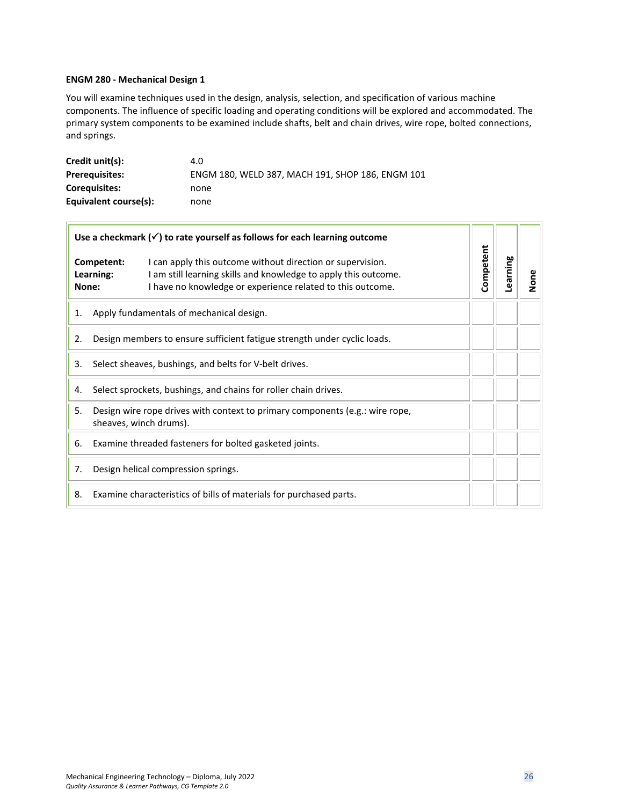#### <span id="page-25-0"></span>**ENGM 280 - Mechanical Design 1**

You will examine techniques used in the design, analysis, selection, and specification of various machine components. The influence of specific loading and operating conditions will be explored and accommodated. The primary system components to be examined include shafts, belt and chain drives, wire rope, bolted connections, and springs.

| Credit unit(s):       | 4.0                                              |
|-----------------------|--------------------------------------------------|
| <b>Prerequisites:</b> | ENGM 180, WELD 387, MACH 191, SHOP 186, ENGM 101 |
| <b>Coreguisites:</b>  | none                                             |
| Equivalent course(s): | none                                             |

| Use a checkmark $(\checkmark)$ to rate yourself as follows for each learning outcome |                                                                                                                                                                                                                                 |           |          |      |
|--------------------------------------------------------------------------------------|---------------------------------------------------------------------------------------------------------------------------------------------------------------------------------------------------------------------------------|-----------|----------|------|
|                                                                                      | Competent:<br>I can apply this outcome without direction or supervision.<br>I am still learning skills and knowledge to apply this outcome.<br>Learning:<br>I have no knowledge or experience related to this outcome.<br>None: | Competent | Learning | None |
| 1.                                                                                   | Apply fundamentals of mechanical design.                                                                                                                                                                                        |           |          |      |
| 2.                                                                                   | Design members to ensure sufficient fatigue strength under cyclic loads.                                                                                                                                                        |           |          |      |
| Select sheaves, bushings, and belts for V-belt drives.<br>3.                         |                                                                                                                                                                                                                                 |           |          |      |
| Select sprockets, bushings, and chains for roller chain drives.<br>4.                |                                                                                                                                                                                                                                 |           |          |      |
| 5.                                                                                   | Design wire rope drives with context to primary components (e.g.: wire rope,<br>sheaves, winch drums).                                                                                                                          |           |          |      |
| 6.                                                                                   | Examine threaded fasteners for bolted gasketed joints.                                                                                                                                                                          |           |          |      |
| 7.                                                                                   | Design helical compression springs.                                                                                                                                                                                             |           |          |      |
| Examine characteristics of bills of materials for purchased parts.<br>8.             |                                                                                                                                                                                                                                 |           |          |      |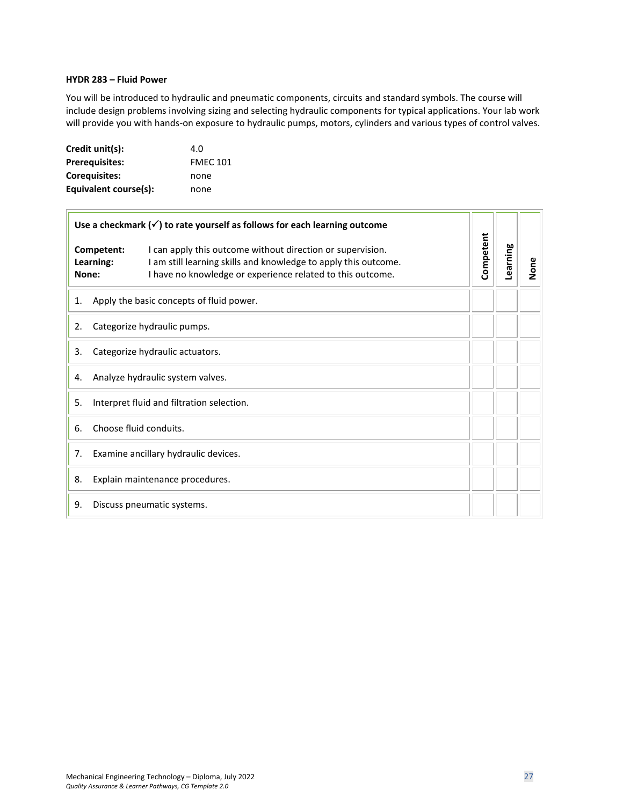# <span id="page-26-0"></span>**HYDR 283 – Fluid Power**

You will be introduced to hydraulic and pneumatic components, circuits and standard symbols. The course will include design problems involving sizing and selecting hydraulic components for typical applications. Your lab work will provide you with hands-on exposure to hydraulic pumps, motors, cylinders and various types of control valves.

| Credit unit(s):       | 4.0             |
|-----------------------|-----------------|
| <b>Prerequisites:</b> | <b>FMEC 101</b> |
| Coreguisites:         | none            |
| Equivalent course(s): | none            |

| Use a checkmark $(\checkmark)$ to rate yourself as follows for each learning outcome |                                           |                                                                                                                                                                                             |           |          |      |
|--------------------------------------------------------------------------------------|-------------------------------------------|---------------------------------------------------------------------------------------------------------------------------------------------------------------------------------------------|-----------|----------|------|
|                                                                                      | Competent:<br>Learning:<br>None:          | I can apply this outcome without direction or supervision.<br>I am still learning skills and knowledge to apply this outcome.<br>I have no knowledge or experience related to this outcome. | Competent | Learning | None |
| 1.                                                                                   |                                           | Apply the basic concepts of fluid power.                                                                                                                                                    |           |          |      |
| 2.                                                                                   | Categorize hydraulic pumps.               |                                                                                                                                                                                             |           |          |      |
| 3.                                                                                   | Categorize hydraulic actuators.           |                                                                                                                                                                                             |           |          |      |
| 4.                                                                                   | Analyze hydraulic system valves.          |                                                                                                                                                                                             |           |          |      |
| 5.                                                                                   | Interpret fluid and filtration selection. |                                                                                                                                                                                             |           |          |      |
| 6.                                                                                   | Choose fluid conduits.                    |                                                                                                                                                                                             |           |          |      |
| 7.                                                                                   | Examine ancillary hydraulic devices.      |                                                                                                                                                                                             |           |          |      |
| 8.                                                                                   | Explain maintenance procedures.           |                                                                                                                                                                                             |           |          |      |
| 9.<br>Discuss pneumatic systems.                                                     |                                           |                                                                                                                                                                                             |           |          |      |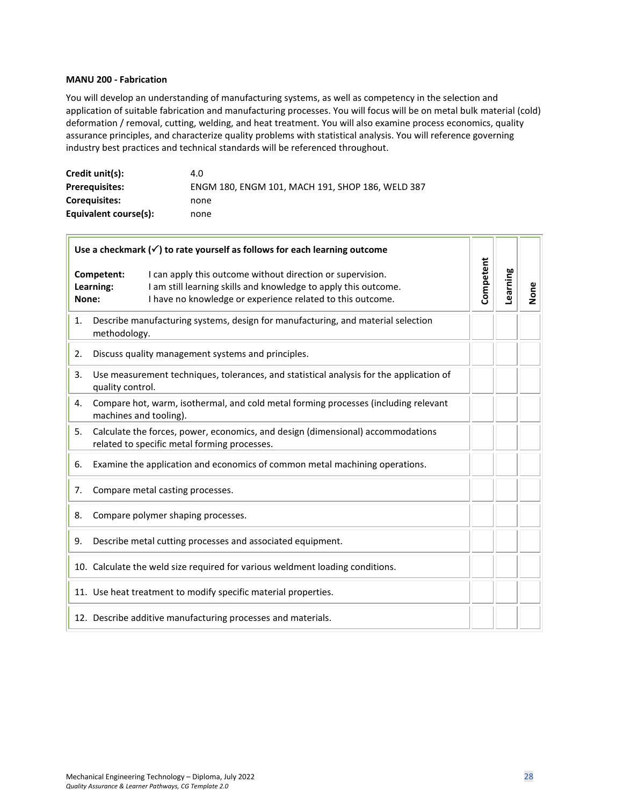# <span id="page-27-0"></span>**MANU 200 - Fabrication**

 $\overline{r}$ 

You will develop an understanding of manufacturing systems, as well as competency in the selection and application of suitable fabrication and manufacturing processes. You will focus will be on metal bulk material (cold) deformation / removal, cutting, welding, and heat treatment. You will also examine process economics, quality assurance principles, and characterize quality problems with statistical analysis. You will reference governing industry best practices and technical standards will be referenced throughout.

| Credit unit(s):       | 4.0                                              |
|-----------------------|--------------------------------------------------|
| <b>Prerequisites:</b> | ENGM 180, ENGM 101, MACH 191, SHOP 186, WELD 387 |
| <b>Coreguisites:</b>  | none                                             |
| Equivalent course(s): | none                                             |

| Use a checkmark $(\checkmark)$ to rate yourself as follows for each learning outcome                                                  |                                                                                                                                                                                                                        |           |          |      |
|---------------------------------------------------------------------------------------------------------------------------------------|------------------------------------------------------------------------------------------------------------------------------------------------------------------------------------------------------------------------|-----------|----------|------|
| None:                                                                                                                                 | I can apply this outcome without direction or supervision.<br>Competent:<br>I am still learning skills and knowledge to apply this outcome.<br>Learning:<br>I have no knowledge or experience related to this outcome. | Competent | Learning | None |
| 1.                                                                                                                                    | Describe manufacturing systems, design for manufacturing, and material selection<br>methodology.                                                                                                                       |           |          |      |
| 2.                                                                                                                                    | Discuss quality management systems and principles.                                                                                                                                                                     |           |          |      |
| Use measurement techniques, tolerances, and statistical analysis for the application of<br>3.<br>quality control.                     |                                                                                                                                                                                                                        |           |          |      |
| 4.                                                                                                                                    | Compare hot, warm, isothermal, and cold metal forming processes (including relevant<br>machines and tooling).                                                                                                          |           |          |      |
| 5.<br>Calculate the forces, power, economics, and design (dimensional) accommodations<br>related to specific metal forming processes. |                                                                                                                                                                                                                        |           |          |      |
| 6.                                                                                                                                    | Examine the application and economics of common metal machining operations.                                                                                                                                            |           |          |      |
| 7.                                                                                                                                    | Compare metal casting processes.                                                                                                                                                                                       |           |          |      |
| 8.                                                                                                                                    | Compare polymer shaping processes.                                                                                                                                                                                     |           |          |      |
| Describe metal cutting processes and associated equipment.<br>9.                                                                      |                                                                                                                                                                                                                        |           |          |      |
|                                                                                                                                       | 10. Calculate the weld size required for various weldment loading conditions.                                                                                                                                          |           |          |      |
|                                                                                                                                       | 11. Use heat treatment to modify specific material properties.                                                                                                                                                         |           |          |      |
|                                                                                                                                       | 12. Describe additive manufacturing processes and materials.                                                                                                                                                           |           |          |      |

--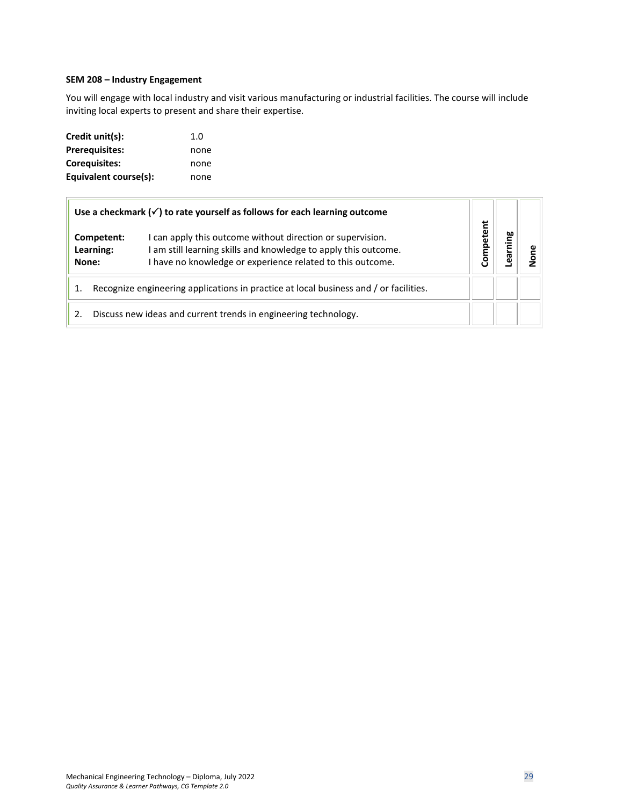# <span id="page-28-0"></span>**SEM 208 – Industry Engagement**

You will engage with local industry and visit various manufacturing or industrial facilities. The course will include inviting local experts to present and share their expertise.

| Credit unit(s):       | 1.0  |
|-----------------------|------|
| <b>Prerequisites:</b> | none |
| Corequisites:         | none |
| Equivalent course(s): | none |

| Use a checkmark $(\checkmark)$ to rate yourself as follows for each learning outcome  |  |                                                                                                                                                                                             |          |        |  |
|---------------------------------------------------------------------------------------|--|---------------------------------------------------------------------------------------------------------------------------------------------------------------------------------------------|----------|--------|--|
| Competent:<br>Learning:<br>None:                                                      |  | I can apply this outcome without direction or supervision.<br>I am still learning skills and knowledge to apply this outcome.<br>I have no knowledge or experience related to this outcome. | ompetent | arning |  |
| Recognize engineering applications in practice at local business and / or facilities. |  |                                                                                                                                                                                             |          |        |  |
| Discuss new ideas and current trends in engineering technology.<br>2.                 |  |                                                                                                                                                                                             |          |        |  |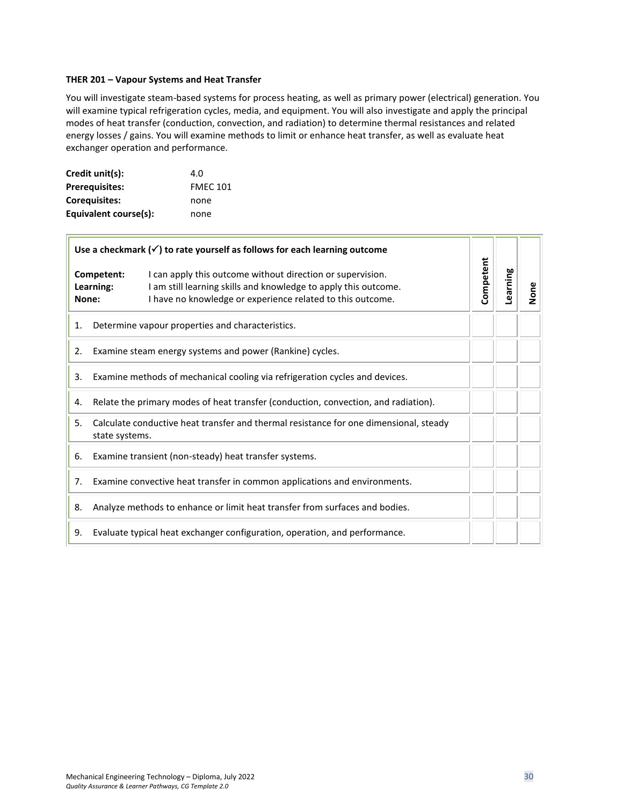#### <span id="page-29-0"></span>**THER 201 – Vapour Systems and Heat Transfer**

You will investigate steam-based systems for process heating, as well as primary power (electrical) generation. You will examine typical refrigeration cycles, media, and equipment. You will also investigate and apply the principal modes of heat transfer (conduction, convection, and radiation) to determine thermal resistances and related energy losses / gains. You will examine methods to limit or enhance heat transfer, as well as evaluate heat exchanger operation and performance.

| Credit unit(s):       | 4.O             |
|-----------------------|-----------------|
| <b>Prerequisites:</b> | <b>FMEC 101</b> |
| <b>Corequisites:</b>  | none            |
| Equivalent course(s): | none            |

| Use a checkmark $(\checkmark)$ to rate yourself as follows for each learning outcome                          |                                                                           |                                                                                                                                                                                             |           |          |      |
|---------------------------------------------------------------------------------------------------------------|---------------------------------------------------------------------------|---------------------------------------------------------------------------------------------------------------------------------------------------------------------------------------------|-----------|----------|------|
|                                                                                                               | Competent:<br>Learning:<br>None:                                          | I can apply this outcome without direction or supervision.<br>I am still learning skills and knowledge to apply this outcome.<br>I have no knowledge or experience related to this outcome. | Competent | Learning | None |
| Determine vapour properties and characteristics.<br>1.                                                        |                                                                           |                                                                                                                                                                                             |           |          |      |
| Examine steam energy systems and power (Rankine) cycles.<br>2.                                                |                                                                           |                                                                                                                                                                                             |           |          |      |
| Examine methods of mechanical cooling via refrigeration cycles and devices.<br>3.                             |                                                                           |                                                                                                                                                                                             |           |          |      |
| Relate the primary modes of heat transfer (conduction, convection, and radiation).<br>4.                      |                                                                           |                                                                                                                                                                                             |           |          |      |
| Calculate conductive heat transfer and thermal resistance for one dimensional, steady<br>5.<br>state systems. |                                                                           |                                                                                                                                                                                             |           |          |      |
| 6.                                                                                                            | Examine transient (non-steady) heat transfer systems.                     |                                                                                                                                                                                             |           |          |      |
| 7.                                                                                                            | Examine convective heat transfer in common applications and environments. |                                                                                                                                                                                             |           |          |      |
| 8.                                                                                                            |                                                                           | Analyze methods to enhance or limit heat transfer from surfaces and bodies.                                                                                                                 |           |          |      |
| Evaluate typical heat exchanger configuration, operation, and performance.<br>9.                              |                                                                           |                                                                                                                                                                                             |           |          |      |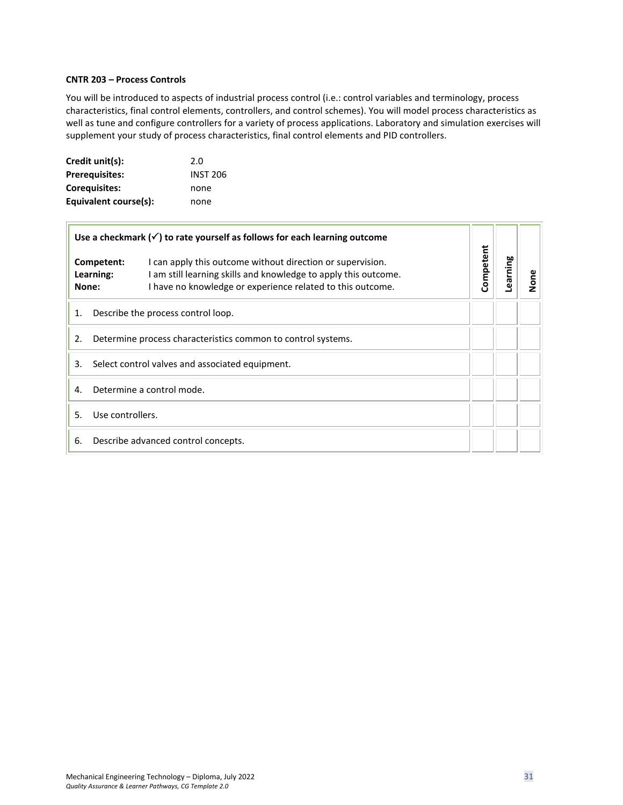#### <span id="page-30-0"></span>**CNTR 203 – Process Controls**

 $\Box$ 

You will be introduced to aspects of industrial process control (i.e.: control variables and terminology, process characteristics, final control elements, controllers, and control schemes). You will model process characteristics as well as tune and configure controllers for a variety of process applications. Laboratory and simulation exercises will supplement your study of process characteristics, final control elements and PID controllers.

| Credit unit(s):       | 2.0             |
|-----------------------|-----------------|
| <b>Prerequisites:</b> | <b>INST 206</b> |
| <b>Corequisites:</b>  | none            |
| Equivalent course(s): | none            |

| Use a checkmark $(\checkmark)$ to rate yourself as follows for each learning outcome |                                                              |                                                                                                                                                                                             |           |          |          |
|--------------------------------------------------------------------------------------|--------------------------------------------------------------|---------------------------------------------------------------------------------------------------------------------------------------------------------------------------------------------|-----------|----------|----------|
|                                                                                      | Competent:<br>Learning:<br>None:                             | I can apply this outcome without direction or supervision.<br>I am still learning skills and knowledge to apply this outcome.<br>I have no knowledge or experience related to this outcome. | Competent | earning. | <u>Š</u> |
| 1.                                                                                   | Describe the process control loop.                           |                                                                                                                                                                                             |           |          |          |
| 2.                                                                                   | Determine process characteristics common to control systems. |                                                                                                                                                                                             |           |          |          |
| 3.                                                                                   | Select control valves and associated equipment.              |                                                                                                                                                                                             |           |          |          |
| 4.                                                                                   | Determine a control mode.                                    |                                                                                                                                                                                             |           |          |          |
| .5.                                                                                  | Use controllers.                                             |                                                                                                                                                                                             |           |          |          |
| 6.                                                                                   | Describe advanced control concepts.                          |                                                                                                                                                                                             |           |          |          |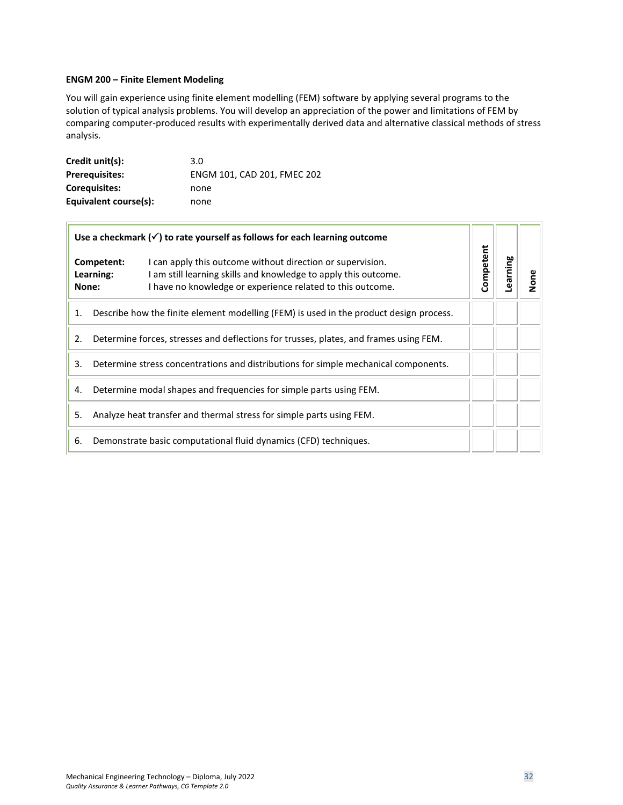# <span id="page-31-0"></span>**ENGM 200 – Finite Element Modeling**

You will gain experience using finite element modelling (FEM) software by applying several programs to the solution of typical analysis problems. You will develop an appreciation of the power and limitations of FEM by comparing computer-produced results with experimentally derived data and alternative classical methods of stress analysis.

| Credit unit(s):       | 3.0                         |
|-----------------------|-----------------------------|
| <b>Prerequisites:</b> | ENGM 101, CAD 201, FMEC 202 |
| Coreguisites:         | none                        |
| Equivalent course(s): | none                        |

| Use a checkmark $(\checkmark)$ to rate yourself as follows for each learning outcome      |                                                                                                                                                                                                                        |           |         |      |  |
|-------------------------------------------------------------------------------------------|------------------------------------------------------------------------------------------------------------------------------------------------------------------------------------------------------------------------|-----------|---------|------|--|
| None:                                                                                     | I can apply this outcome without direction or supervision.<br>Competent:<br>I am still learning skills and knowledge to apply this outcome.<br>Learning:<br>I have no knowledge or experience related to this outcome. | Competent | earning | None |  |
| 1.                                                                                        | Describe how the finite element modelling (FEM) is used in the product design process.                                                                                                                                 |           |         |      |  |
| 2.                                                                                        | Determine forces, stresses and deflections for trusses, plates, and frames using FEM.                                                                                                                                  |           |         |      |  |
| 3.<br>Determine stress concentrations and distributions for simple mechanical components. |                                                                                                                                                                                                                        |           |         |      |  |
| 4.                                                                                        | Determine modal shapes and frequencies for simple parts using FEM.                                                                                                                                                     |           |         |      |  |
| 5.                                                                                        | Analyze heat transfer and thermal stress for simple parts using FEM.                                                                                                                                                   |           |         |      |  |
| Demonstrate basic computational fluid dynamics (CFD) techniques.<br>6.                    |                                                                                                                                                                                                                        |           |         |      |  |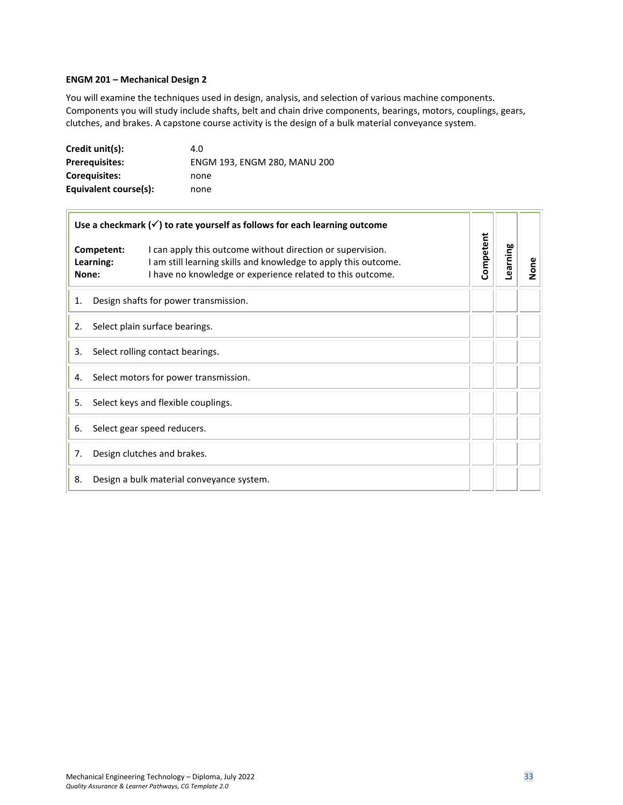#### <span id="page-32-0"></span>**ENGM 201 – Mechanical Design 2**

 $\overline{1}$ 

You will examine the techniques used in design, analysis, and selection of various machine components. Components you will study include shafts, belt and chain drive components, bearings, motors, couplings, gears, clutches, and brakes. A capstone course activity is the design of a bulk material conveyance system.

| Credit unit(s):       | 4.0                          |
|-----------------------|------------------------------|
| <b>Prerequisites:</b> | ENGM 193, ENGM 280, MANU 200 |
| Coreguisites:         | none                         |
| Equivalent course(s): | none                         |

| Use a checkmark $(\checkmark)$ to rate yourself as follows for each learning outcome |                                                                                                                                                                                             |           |          |      |  |
|--------------------------------------------------------------------------------------|---------------------------------------------------------------------------------------------------------------------------------------------------------------------------------------------|-----------|----------|------|--|
| Competent:<br>Learning:<br>None:                                                     | I can apply this outcome without direction or supervision.<br>I am still learning skills and knowledge to apply this outcome.<br>I have no knowledge or experience related to this outcome. | Competent | Learning | None |  |
| Design shafts for power transmission.<br>1.                                          |                                                                                                                                                                                             |           |          |      |  |
| Select plain surface bearings.<br>2.                                                 |                                                                                                                                                                                             |           |          |      |  |
| Select rolling contact bearings.<br>3.                                               |                                                                                                                                                                                             |           |          |      |  |
| Select motors for power transmission.<br>4.                                          |                                                                                                                                                                                             |           |          |      |  |
| Select keys and flexible couplings.<br>5.                                            |                                                                                                                                                                                             |           |          |      |  |
| 6.                                                                                   | Select gear speed reducers.                                                                                                                                                                 |           |          |      |  |
| 7.                                                                                   | Design clutches and brakes.                                                                                                                                                                 |           |          |      |  |
| Design a bulk material conveyance system.<br>8.                                      |                                                                                                                                                                                             |           |          |      |  |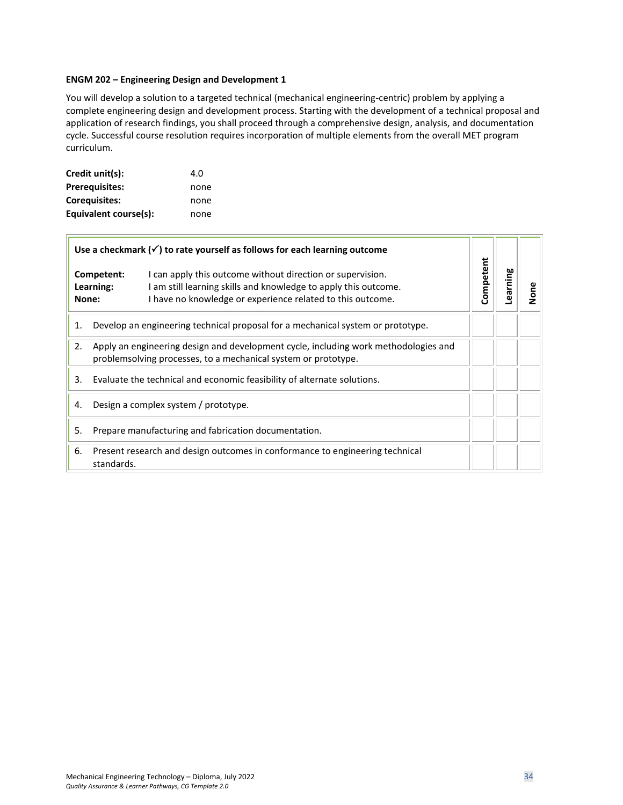#### <span id="page-33-0"></span>**ENGM 202 – Engineering Design and Development 1**

You will develop a solution to a targeted technical (mechanical engineering-centric) problem by applying a complete engineering design and development process. Starting with the development of a technical proposal and application of research findings, you shall proceed through a comprehensive design, analysis, and documentation cycle. Successful course resolution requires incorporation of multiple elements from the overall MET program curriculum.

| Credit unit(s):       | 4.0  |
|-----------------------|------|
| <b>Prerequisites:</b> | none |
| <b>Corequisites:</b>  | none |
| Equivalent course(s): | none |

| Use a checkmark $(\checkmark)$ to rate yourself as follows for each learning outcome |                                                                                                                                                                                                                                 |           |          |      |
|--------------------------------------------------------------------------------------|---------------------------------------------------------------------------------------------------------------------------------------------------------------------------------------------------------------------------------|-----------|----------|------|
|                                                                                      | Competent:<br>I can apply this outcome without direction or supervision.<br>Learning:<br>I am still learning skills and knowledge to apply this outcome.<br>I have no knowledge or experience related to this outcome.<br>None: | Competent | Learning | None |
| 1.                                                                                   | Develop an engineering technical proposal for a mechanical system or prototype.                                                                                                                                                 |           |          |      |
| 2.                                                                                   | Apply an engineering design and development cycle, including work methodologies and<br>problemsolving processes, to a mechanical system or prototype.                                                                           |           |          |      |
| 3.                                                                                   | Evaluate the technical and economic feasibility of alternate solutions.                                                                                                                                                         |           |          |      |
| 4.                                                                                   | Design a complex system / prototype.                                                                                                                                                                                            |           |          |      |
| 5.                                                                                   | Prepare manufacturing and fabrication documentation.                                                                                                                                                                            |           |          |      |
| 6.                                                                                   | Present research and design outcomes in conformance to engineering technical<br>standards.                                                                                                                                      |           |          |      |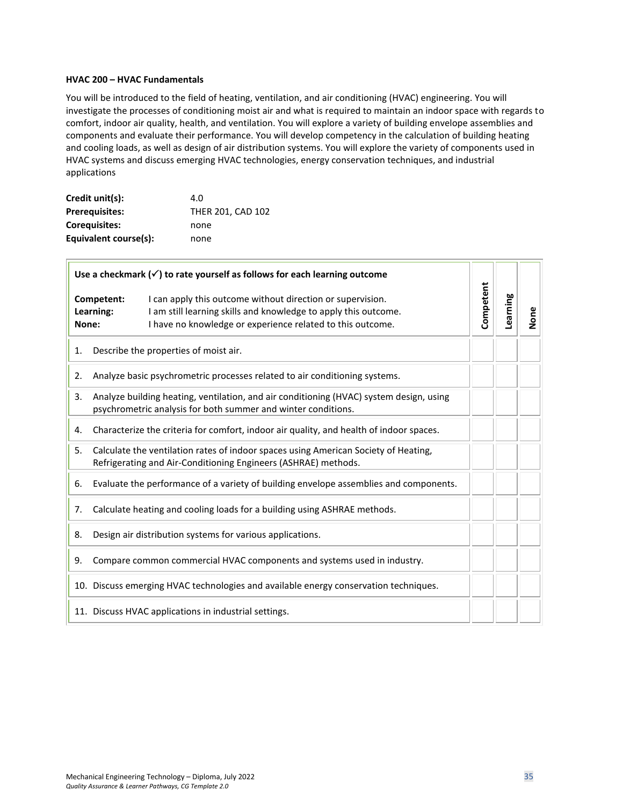#### <span id="page-34-0"></span>**HVAC 200 – HVAC Fundamentals**

You will be introduced to the field of heating, ventilation, and air conditioning (HVAC) engineering. You will investigate the processes of conditioning moist air and what is required to maintain an indoor space with regards to comfort, indoor air quality, health, and ventilation. You will explore a variety of building envelope assemblies and components and evaluate their performance. You will develop competency in the calculation of building heating and cooling loads, as well as design of air distribution systems. You will explore the variety of components used in HVAC systems and discuss emerging HVAC technologies, energy conservation techniques, and industrial applications

| Credit unit(s):       | 4.0               |
|-----------------------|-------------------|
| <b>Prerequisites:</b> | THER 201, CAD 102 |
| <b>Corequisites:</b>  | none              |
| Equivalent course(s): | none              |

| Use a checkmark $(\checkmark)$ to rate yourself as follows for each learning outcome |                                                                                                                                                                                                                        |           |          |      |
|--------------------------------------------------------------------------------------|------------------------------------------------------------------------------------------------------------------------------------------------------------------------------------------------------------------------|-----------|----------|------|
| None:                                                                                | Competent:<br>I can apply this outcome without direction or supervision.<br>I am still learning skills and knowledge to apply this outcome.<br>Learning:<br>I have no knowledge or experience related to this outcome. | Competent | Learning | None |
| 1.                                                                                   | Describe the properties of moist air.                                                                                                                                                                                  |           |          |      |
| 2.                                                                                   | Analyze basic psychrometric processes related to air conditioning systems.                                                                                                                                             |           |          |      |
| 3.                                                                                   | Analyze building heating, ventilation, and air conditioning (HVAC) system design, using<br>psychrometric analysis for both summer and winter conditions.                                                               |           |          |      |
| 4.                                                                                   | Characterize the criteria for comfort, indoor air quality, and health of indoor spaces.                                                                                                                                |           |          |      |
| 5.                                                                                   | Calculate the ventilation rates of indoor spaces using American Society of Heating,<br>Refrigerating and Air-Conditioning Engineers (ASHRAE) methods.                                                                  |           |          |      |
| 6.                                                                                   | Evaluate the performance of a variety of building envelope assemblies and components.                                                                                                                                  |           |          |      |
| 7.                                                                                   | Calculate heating and cooling loads for a building using ASHRAE methods.                                                                                                                                               |           |          |      |
| 8.                                                                                   | Design air distribution systems for various applications.                                                                                                                                                              |           |          |      |
| 9.                                                                                   | Compare common commercial HVAC components and systems used in industry.                                                                                                                                                |           |          |      |
|                                                                                      | 10. Discuss emerging HVAC technologies and available energy conservation techniques.                                                                                                                                   |           |          |      |
|                                                                                      | 11. Discuss HVAC applications in industrial settings.                                                                                                                                                                  |           |          |      |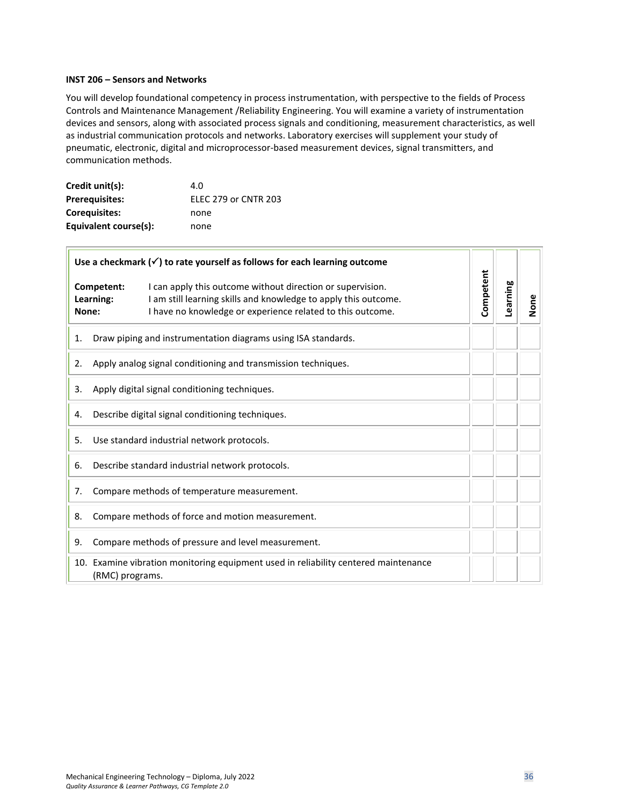#### <span id="page-35-0"></span>**INST 206 – Sensors and Networks**

 $\blacksquare$ 

You will develop foundational competency in process instrumentation, with perspective to the fields of Process Controls and Maintenance Management /Reliability Engineering. You will examine a variety of instrumentation devices and sensors, along with associated process signals and conditioning, measurement characteristics, as well as industrial communication protocols and networks. Laboratory exercises will supplement your study of pneumatic, electronic, digital and microprocessor-based measurement devices, signal transmitters, and communication methods.

| Credit unit(s):       | 4.O                         |
|-----------------------|-----------------------------|
| <b>Prerequisites:</b> | <b>ELEC 279 or CNTR 203</b> |
| Coreguisites:         | none                        |
| Equivalent course(s): | none                        |

| Use a checkmark $(\checkmark)$ to rate yourself as follows for each learning outcome |                                                  |                                                                                                                                                                                             |           |          |      |
|--------------------------------------------------------------------------------------|--------------------------------------------------|---------------------------------------------------------------------------------------------------------------------------------------------------------------------------------------------|-----------|----------|------|
| None:                                                                                | Competent:<br>Learning:                          | I can apply this outcome without direction or supervision.<br>I am still learning skills and knowledge to apply this outcome.<br>I have no knowledge or experience related to this outcome. | Competent | Learning | None |
| 1.                                                                                   |                                                  | Draw piping and instrumentation diagrams using ISA standards.                                                                                                                               |           |          |      |
| 2.                                                                                   |                                                  | Apply analog signal conditioning and transmission techniques.                                                                                                                               |           |          |      |
| 3.                                                                                   |                                                  | Apply digital signal conditioning techniques.                                                                                                                                               |           |          |      |
| 4.                                                                                   |                                                  | Describe digital signal conditioning techniques.                                                                                                                                            |           |          |      |
| 5.                                                                                   |                                                  | Use standard industrial network protocols.                                                                                                                                                  |           |          |      |
| Describe standard industrial network protocols.<br>6.                                |                                                  |                                                                                                                                                                                             |           |          |      |
| 7.                                                                                   | Compare methods of temperature measurement.      |                                                                                                                                                                                             |           |          |      |
| 8.                                                                                   | Compare methods of force and motion measurement. |                                                                                                                                                                                             |           |          |      |
| 9.                                                                                   |                                                  | Compare methods of pressure and level measurement.                                                                                                                                          |           |          |      |
|                                                                                      | (RMC) programs.                                  | 10. Examine vibration monitoring equipment used in reliability centered maintenance                                                                                                         |           |          |      |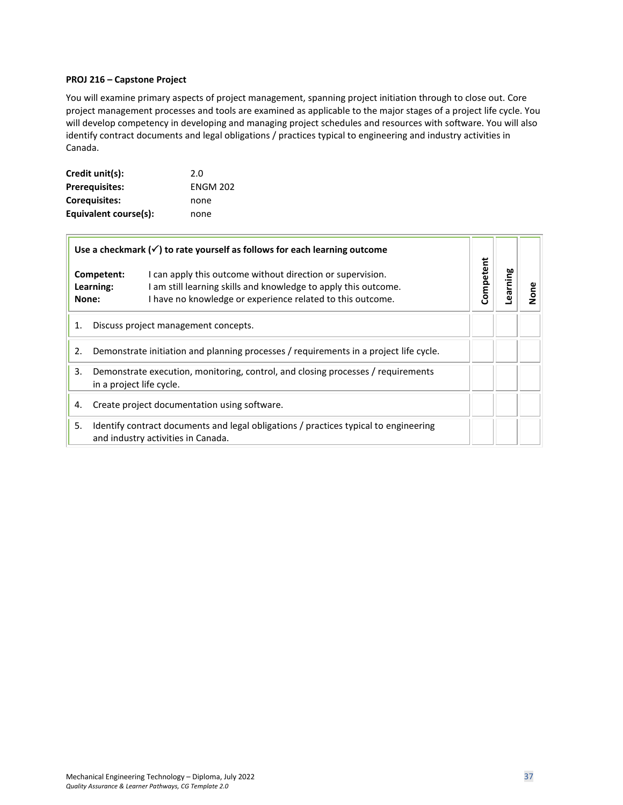#### <span id="page-36-0"></span>**PROJ 216 – Capstone Project**

You will examine primary aspects of project management, spanning project initiation through to close out. Core project management processes and tools are examined as applicable to the major stages of a project life cycle. You will develop competency in developing and managing project schedules and resources with software. You will also identify contract documents and legal obligations / practices typical to engineering and industry activities in Canada.

| Credit unit(s):       | 2.0             |
|-----------------------|-----------------|
| <b>Prerequisites:</b> | <b>ENGM 202</b> |
| <b>Corequisites:</b>  | none            |
| Equivalent course(s): | none            |

| Use a checkmark $(\checkmark)$ to rate yourself as follows for each learning outcome                                             |                                                                                                                                                                                                                        |           |        |      |
|----------------------------------------------------------------------------------------------------------------------------------|------------------------------------------------------------------------------------------------------------------------------------------------------------------------------------------------------------------------|-----------|--------|------|
| None:                                                                                                                            | I can apply this outcome without direction or supervision.<br>Competent:<br>I am still learning skills and knowledge to apply this outcome.<br>Learning:<br>I have no knowledge or experience related to this outcome. | Competent | guimae | None |
| 1.                                                                                                                               | Discuss project management concepts.                                                                                                                                                                                   |           |        |      |
| 2.                                                                                                                               | Demonstrate initiation and planning processes / requirements in a project life cycle.                                                                                                                                  |           |        |      |
| 3.                                                                                                                               | Demonstrate execution, monitoring, control, and closing processes / requirements<br>in a project life cycle.                                                                                                           |           |        |      |
| 4.                                                                                                                               | Create project documentation using software.                                                                                                                                                                           |           |        |      |
| Identify contract documents and legal obligations / practices typical to engineering<br>5.<br>and industry activities in Canada. |                                                                                                                                                                                                                        |           |        |      |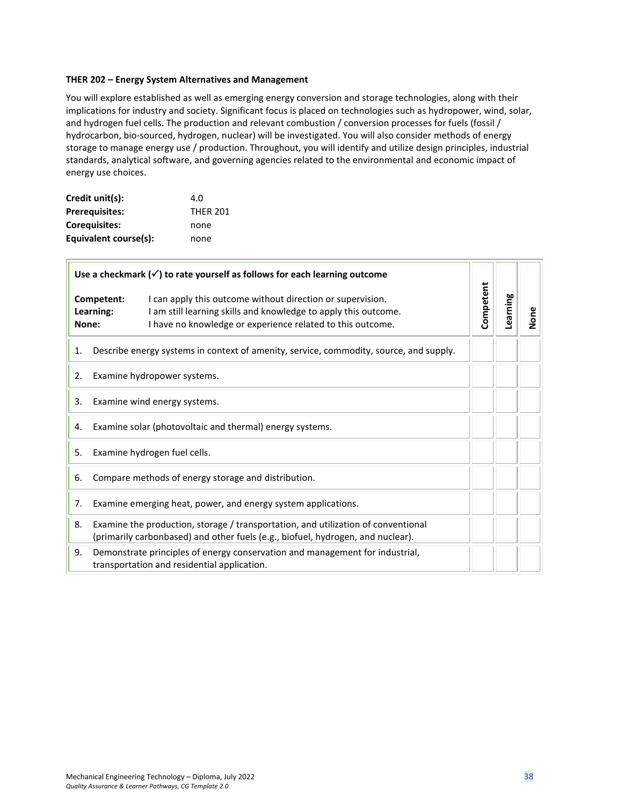#### <span id="page-37-0"></span>**THER 202 – Energy System Alternatives and Management**

You will explore established as well as emerging energy conversion and storage technologies, along with their implications for industry and society. Significant focus is placed on technologies such as hydropower, wind, solar, and hydrogen fuel cells. The production and relevant combustion / conversion processes for fuels (fossil / hydrocarbon, bio-sourced, hydrogen, nuclear) will be investigated. You will also consider methods of energy storage to manage energy use / production. Throughout, you will identify and utilize design principles, industrial standards, analytical software, and governing agencies related to the environmental and economic impact of energy use choices.

| Credit unit(s):       | 4.O             |
|-----------------------|-----------------|
| <b>Prerequisites:</b> | <b>THER 201</b> |
| Coreguisites:         | none            |
| Equivalent course(s): | none            |

| Use a checkmark $(\checkmark)$ to rate yourself as follows for each learning outcome |                                                                                        |                                                                                                                                                                                             |           |          |      |
|--------------------------------------------------------------------------------------|----------------------------------------------------------------------------------------|---------------------------------------------------------------------------------------------------------------------------------------------------------------------------------------------|-----------|----------|------|
|                                                                                      | Competent:<br>Learning:<br>None:                                                       | I can apply this outcome without direction or supervision.<br>I am still learning skills and knowledge to apply this outcome.<br>I have no knowledge or experience related to this outcome. | Competent | Learning | None |
| 1.                                                                                   | Describe energy systems in context of amenity, service, commodity, source, and supply. |                                                                                                                                                                                             |           |          |      |
| 2.                                                                                   |                                                                                        | Examine hydropower systems.                                                                                                                                                                 |           |          |      |
| 3.                                                                                   | Examine wind energy systems.                                                           |                                                                                                                                                                                             |           |          |      |
| Examine solar (photovoltaic and thermal) energy systems.<br>4.                       |                                                                                        |                                                                                                                                                                                             |           |          |      |
| Examine hydrogen fuel cells.<br>5.                                                   |                                                                                        |                                                                                                                                                                                             |           |          |      |
| Compare methods of energy storage and distribution.<br>6.                            |                                                                                        |                                                                                                                                                                                             |           |          |      |
| 7.                                                                                   | Examine emerging heat, power, and energy system applications.                          |                                                                                                                                                                                             |           |          |      |
| 8.                                                                                   |                                                                                        | Examine the production, storage / transportation, and utilization of conventional<br>(primarily carbonbased) and other fuels (e.g., biofuel, hydrogen, and nuclear).                        |           |          |      |
| 9.                                                                                   |                                                                                        | Demonstrate principles of energy conservation and management for industrial,<br>transportation and residential application.                                                                 |           |          |      |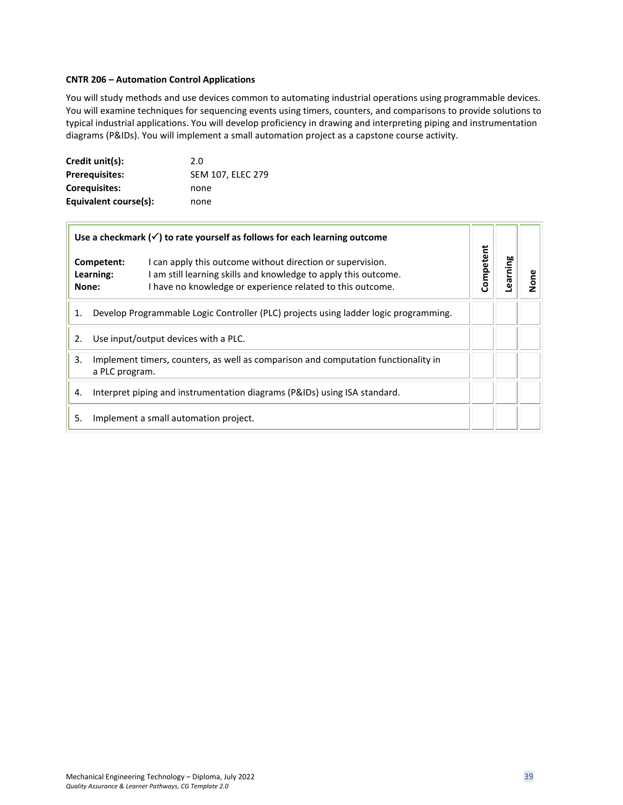### <span id="page-38-0"></span>**CNTR 206 – Automation Control Applications**

You will study methods and use devices common to automating industrial operations using programmable devices. You will examine techniques for sequencing events using timers, counters, and comparisons to provide solutions to typical industrial applications. You will develop proficiency in drawing and interpreting piping and instrumentation diagrams (P&IDs). You will implement a small automation project as a capstone course activity.

| Credit unit(s):       | 2.0               |
|-----------------------|-------------------|
| <b>Prerequisites:</b> | SEM 107, ELEC 279 |
| Coreguisites:         | none              |
| Equivalent course(s): | none              |

 $\Box$ 

| Use a checkmark $(\checkmark)$ to rate yourself as follows for each learning outcome |                                                                                                                                                                                                                      |           |         |          |
|--------------------------------------------------------------------------------------|----------------------------------------------------------------------------------------------------------------------------------------------------------------------------------------------------------------------|-----------|---------|----------|
| None:                                                                                | I can apply this outcome without direction or supervision.<br>Competent:<br>am still learning skills and knowledge to apply this outcome.<br>Learning:<br>I have no knowledge or experience related to this outcome. | Competent | earning | <u>Š</u> |
| 1.                                                                                   | Develop Programmable Logic Controller (PLC) projects using ladder logic programming.                                                                                                                                 |           |         |          |
| 2.                                                                                   | Use input/output devices with a PLC.                                                                                                                                                                                 |           |         |          |
| 3.                                                                                   | Implement timers, counters, as well as comparison and computation functionality in<br>a PLC program.                                                                                                                 |           |         |          |
| 4.                                                                                   | Interpret piping and instrumentation diagrams (P&IDs) using ISA standard.                                                                                                                                            |           |         |          |
| Implement a small automation project.<br>5.                                          |                                                                                                                                                                                                                      |           |         |          |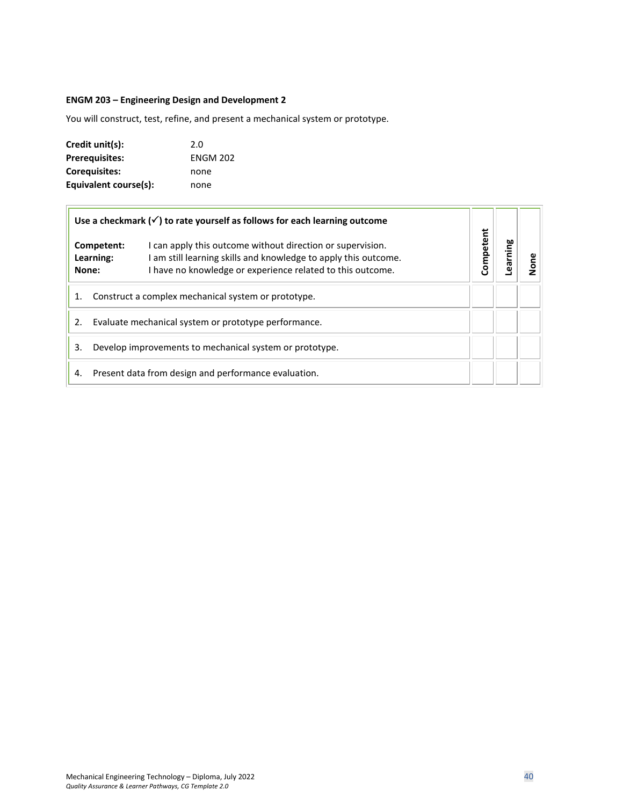# <span id="page-39-0"></span>**ENGM 203 – Engineering Design and Development 2**

You will construct, test, refine, and present a mechanical system or prototype.

| Credit unit(s):       | 2.0             |
|-----------------------|-----------------|
| <b>Prerequisites:</b> | <b>ENGM 202</b> |
| <b>Corequisites:</b>  | none            |
| Equivalent course(s): | none            |

| Use a checkmark $(\checkmark)$ to rate yourself as follows for each learning outcome |                                                      |                                                                                                                                                                                             |           |        |   |
|--------------------------------------------------------------------------------------|------------------------------------------------------|---------------------------------------------------------------------------------------------------------------------------------------------------------------------------------------------|-----------|--------|---|
|                                                                                      | Competent:<br>Learning:<br>None:                     | I can apply this outcome without direction or supervision.<br>I am still learning skills and knowledge to apply this outcome.<br>I have no knowledge or experience related to this outcome. | Competent | arning | ā |
| 1.                                                                                   | Construct a complex mechanical system or prototype.  |                                                                                                                                                                                             |           |        |   |
| Evaluate mechanical system or prototype performance.<br>2.                           |                                                      |                                                                                                                                                                                             |           |        |   |
| 3.<br>Develop improvements to mechanical system or prototype.                        |                                                      |                                                                                                                                                                                             |           |        |   |
| 4.                                                                                   | Present data from design and performance evaluation. |                                                                                                                                                                                             |           |        |   |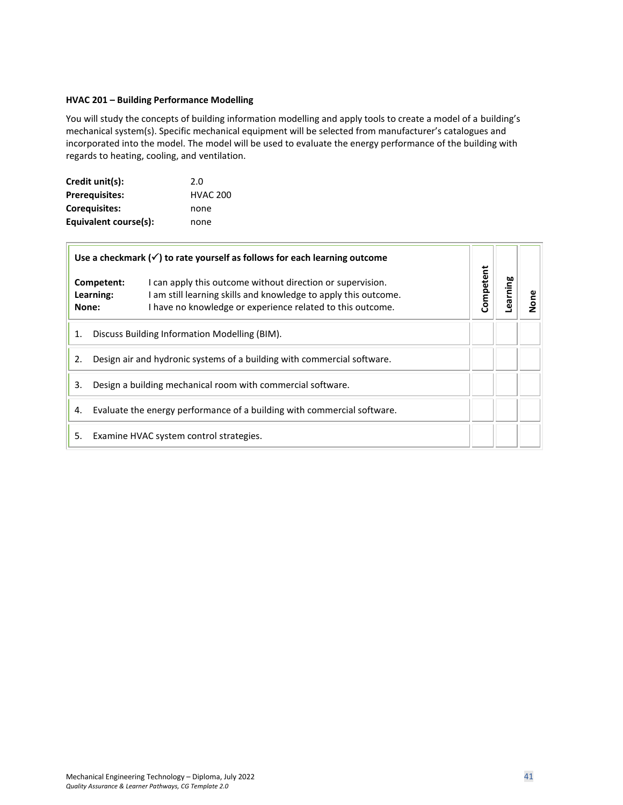# <span id="page-40-0"></span>**HVAC 201 – Building Performance Modelling**

You will study the concepts of building information modelling and apply tools to create a model of a building's mechanical system(s). Specific mechanical equipment will be selected from manufacturer's catalogues and incorporated into the model. The model will be used to evaluate the energy performance of the building with regards to heating, cooling, and ventilation.

| Credit unit(s):       | 2.0             |
|-----------------------|-----------------|
| <b>Prerequisites:</b> | <b>HVAC 200</b> |
| <b>Corequisites:</b>  | none            |
| Equivalent course(s): | none            |

| Use a checkmark $(\checkmark)$ to rate yourself as follows for each learning outcome |                                                                                                                                                                                                                        |           |        |             |  |
|--------------------------------------------------------------------------------------|------------------------------------------------------------------------------------------------------------------------------------------------------------------------------------------------------------------------|-----------|--------|-------------|--|
| None:                                                                                | I can apply this outcome without direction or supervision.<br>Competent:<br>Learning:<br>I am still learning skills and knowledge to apply this outcome.<br>I have no knowledge or experience related to this outcome. | Competent | arning | ene<br>None |  |
| 1.                                                                                   | Discuss Building Information Modelling (BIM).                                                                                                                                                                          |           |        |             |  |
| 2.                                                                                   | Design air and hydronic systems of a building with commercial software.                                                                                                                                                |           |        |             |  |
| 3.                                                                                   | Design a building mechanical room with commercial software.                                                                                                                                                            |           |        |             |  |
| 4.                                                                                   | Evaluate the energy performance of a building with commercial software.                                                                                                                                                |           |        |             |  |
| 5.                                                                                   | Examine HVAC system control strategies.                                                                                                                                                                                |           |        |             |  |